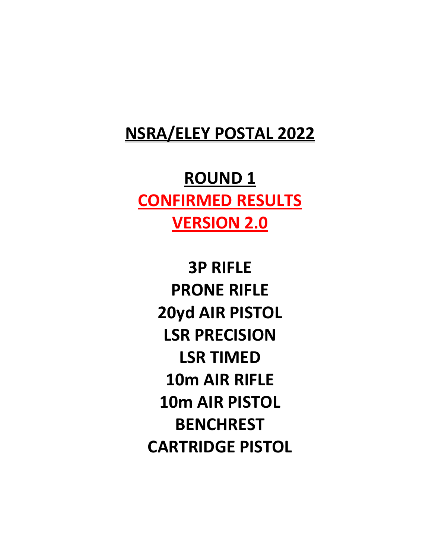## **NSRA/ELEY POSTAL 2022**

# **ROUND 1 CONFIRMED RESULTS VERSION 2.0**

**3P RIFLE PRONE RIFLE 20yd AIR PISTOL LSR PRECISION LSR TIMED 10m AIR RIFLE 10m AIR PISTOL BENCHREST CARTRIDGE PISTOL**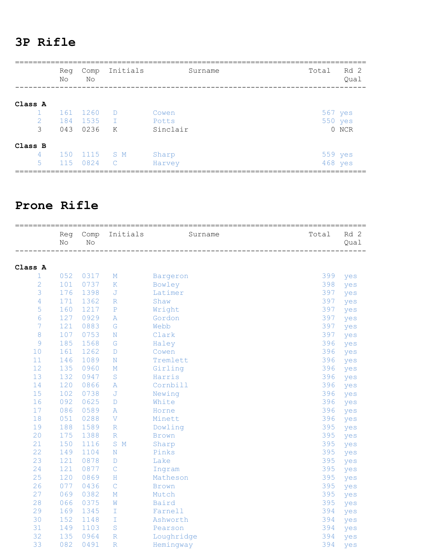#### **3P Rifle**

|                                   | No | Reg        | Comp<br>No                | Initials                      | Surname                    | Total   | Rd 2<br>Oual     |
|-----------------------------------|----|------------|---------------------------|-------------------------------|----------------------------|---------|------------------|
| Class A<br>$\mathbf{1}$<br>2<br>3 |    | 184<br>043 | 161 1260<br>1535<br>0236  | $\Box$<br>$\mathbb{R}^n$<br>K | Cowen<br>Potts<br>Sinclair | 567 yes | 550 yes<br>0 NCR |
| Class B<br>$\overline{4}$<br>5    |    |            | 150 1115 SM<br>115 0824 C |                               | Sharp<br>Harvey            | 559 yes | 468 yes          |

#### **Prone Rifle**

|                 | Reg<br>No | Comp<br>$\rm No$ | Initials         | Surname      | Total | Rd 2<br>Qual |
|-----------------|-----------|------------------|------------------|--------------|-------|--------------|
|                 |           |                  |                  |              |       |              |
| Class A         |           |                  |                  |              |       |              |
| 1               | 052       | 0317             | М                | Bargeron     | 399   | yes          |
| $\overline{2}$  | 101       | 0737             | $\rm K$          | Bowley       | 398   | yes          |
| 3               | 176       | 1398             | J                | Latimer      | 397   | yes          |
| $\overline{4}$  | 171       | 1362             | $\mathbb R$      | Shaw         | 397   | yes          |
| 5               | 160       | 1217             | ${\mathbb P}$    | Wright       | 397   | yes          |
| $6\phantom{.}6$ | 127       | 0929             | Α                | Gordon       | 397   | yes          |
| $\overline{7}$  | 121       | 0883             | ${\mathbb G}$    | Webb         | 397   | yes          |
| $\,8\,$         | 107       | 0753             | N                | Clark        | 397   | yes          |
| $\mathsf 9$     | 185       | 1568             | G                | Haley        | 396   | yes          |
| 10              | 161       | 1262             | D                | Cowen        | 396   | yes          |
| 11              | 146       | 1089             | N                | Tremlett     | 396   | yes          |
| 12              | 135       | 0960             | М                | Girling      | 396   | yes          |
| 13              | 132       | 0947             | $\mathbf S$      | Harris       | 396   | yes          |
| 14              | 120       | 0866             | Α                | Cornbill     | 396   | yes          |
| 15              | 102       | 0738             | J                | Newing       | 396   | yes          |
| 16              | 092       | 0625             | D                | White        | 396   | yes          |
| 17              | 086       | 0589             | Α                | Horne        | 396   | yes          |
| 18              | 051       | 0288             | V                | Minett       | 396   | yes          |
| 19              | 188       | 1589             | R                | Dowling      | 395   | yes          |
| 20              | 175       | 1388             | $\mathbb R$      | <b>Brown</b> | 395   | yes          |
| 21              | 150       | 1116             | $\mathbb M$<br>S | Sharp        | 395   | yes          |
| 22              | 149       | 1104             | N                | Pinks        | 395   | yes          |
| 23              | 121       | 0878             | D                | Lake         | 395   | yes          |
| 24              | 121       | 0877             | $\mathsf{C}$     | Ingram       | 395   | yes          |
| 25              | 120       | 0869             | Η                | Matheson     | 395   | yes          |
| 26              | 077       | 0436             | $\mathsf C$      | <b>Brown</b> | 395   | yes          |
| 27              | 069       | 0382             | М                | Mutch        | 395   | yes          |
| 28              | 066       | 0375             | W                | Baird        | 395   | yes          |
| 29              | 169       | 1345             | T                | Farnell      | 394   | yes          |
| 30              | 152       | 1148             | T                | Ashworth     | 394   | yes          |
| 31              | 149       | 1103             | S                | Pearson      | 394   | yes          |
| 32              | 135       | 0964             | $\mathbb{R}$     | Loughridge   | 394   | yes          |
| 33              | 082       | 0491             | $\mathbb{R}$     | Hemingway    | 394   | yes          |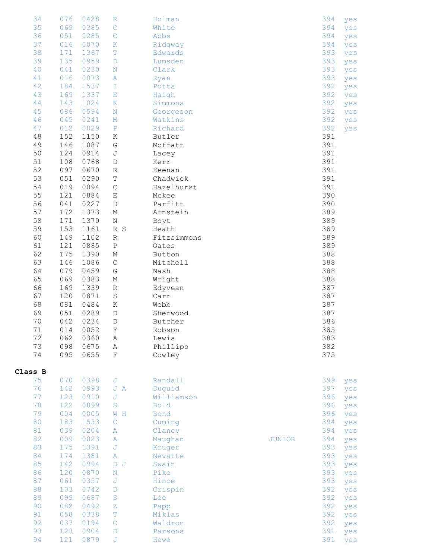| 34      | 076 | 0428 | $\mathbb R$             | Holman      |               | 394 | yes |
|---------|-----|------|-------------------------|-------------|---------------|-----|-----|
| 35      | 069 | 0385 | $\mathsf C$             | White       |               | 394 | yes |
| 36      | 051 | 0285 | $\mathsf C$             | Abbs        |               | 394 | yes |
| 37      | 016 | 0070 | $\rm K$                 | Ridgway     |               | 394 | yes |
|         |     |      |                         |             |               |     |     |
| 38      | 171 | 1367 | $\mathbb T$             | Edwards     |               | 393 | yes |
| 39      | 135 | 0959 | $\mathbb D$             | Lumsden     |               | 393 | yes |
| 40      | 041 | 0230 | $\mathbf N$             | Clark       |               | 393 | yes |
| 41      | 016 | 0073 | $\, {\bf A}$            | Ryan        |               | 393 | yes |
| 42      | 184 | 1537 | $\mathbbm{I}$           | Potts       |               | 392 | yes |
| 43      | 169 |      |                         |             |               | 392 |     |
|         |     | 1337 | E                       | Haigh       |               |     | yes |
| $4\,4$  | 143 | 1024 | К                       | Simmons     |               | 392 | yes |
| 45      | 086 | 0594 | $\mathbf N$             | Georgeson   |               | 392 | yes |
| 46      | 045 | 0241 | $\mathbf M$             | Watkins     |               | 392 | yes |
| 47      | 012 | 0029 | $\rm P$                 | Richard     |               | 392 | yes |
| $4\,8$  | 152 | 1150 | Κ                       | Butler      |               | 391 |     |
|         |     |      |                         |             |               |     |     |
| 49      | 146 | 1087 | G                       | Moffatt     |               | 391 |     |
| 50      | 124 | 0914 | $\mathsf J$             | Lacey       |               | 391 |     |
| $51\,$  | 108 | 0768 | $\mathbb D$             | Kerr        |               | 391 |     |
| 52      | 097 | 0670 | R                       | Keenan      |               | 391 |     |
| 53      | 051 | 0290 | $\mathbb T$             | Chadwick    |               | 391 |     |
| 54      | 019 | 0094 | $\mathsf C$             | Hazelhurst  |               | 391 |     |
|         |     |      |                         |             |               |     |     |
| 55      | 121 | 0884 | $\mathbf E$             | Mckee       |               | 390 |     |
| 56      | 041 | 0227 | $\mathbb D$             | Parfitt     |               | 390 |     |
| 57      | 172 | 1373 | $\mathbb M$             | Arnstein    |               | 389 |     |
| 58      | 171 | 1370 | Ν                       | Boyt        |               | 389 |     |
| 59      | 153 | 1161 | R S                     | Heath       |               | 389 |     |
| 60      | 149 |      |                         |             |               | 389 |     |
|         |     | 1102 | $\mathbb R$             | Fitzsimmons |               |     |     |
| 61      | 121 | 0885 | $\, {\bf P}$            | Oates       |               | 389 |     |
| 62      | 175 | 1390 | $\mathbb M$             | Button      |               | 388 |     |
| 63      | 146 | 1086 | $\mathsf C$             | Mitchell    |               | 388 |     |
| 64      | 079 | 0459 | ${\mathbb G}$           | Nash        |               | 388 |     |
| 65      | 069 | 0383 | $\mathbb M$             | Wright      |               | 388 |     |
|         |     |      |                         |             |               |     |     |
| 66      | 169 | 1339 | R                       | Edyvean     |               | 387 |     |
| 67      | 120 | 0871 | $\mathbf S$             | Carr        |               | 387 |     |
| 68      | 081 | 0484 | Κ                       | Webb        |               | 387 |     |
| 69      | 051 | 0289 | $\mathbb D$             | Sherwood    |               | 387 |     |
| 70      | 042 | 0234 | D                       | Butcher     |               | 386 |     |
| $71\,$  | 014 | 0052 | $\mathbf F$             | Robson      |               | 385 |     |
| 72      | 062 | 0360 |                         | Lewis       |               | 383 |     |
|         |     |      | Α                       |             |               |     |     |
| 73      | 098 | 0675 | $\, {\bf A}$            | Phillips    |               | 382 |     |
| 74      | 095 | 0655 | $\mathbf F$             | Cowley      |               | 375 |     |
|         |     |      |                         |             |               |     |     |
| Class B |     |      |                         |             |               |     |     |
| 75      | 070 | 0398 | J                       | Randall     |               | 399 | yes |
| 76      | 142 | 0993 | J A                     | Duquid      |               | 397 | yes |
| 77      | 123 | 0910 | $\overline{\mathsf{J}}$ | Williamson  |               | 396 |     |
|         |     |      |                         |             |               |     | yes |
| 78      | 122 | 0899 | $\rm S$                 | Bold        |               | 396 | yes |
| 79      | 004 | 0005 | $\mathbbmss{W}$ H       | <b>Bond</b> |               | 396 | yes |
| 80      | 183 | 1533 | $\mathsf{C}$            | Cuming      |               | 394 | yes |
| 81      | 039 | 0204 | A                       | Clancy      |               | 394 | yes |
| 82      | 009 | 0023 | $\, {\bf A}$            | Maughan     | <b>JUNIOR</b> | 394 | yes |
| 83      | 175 | 1391 | $\mathbb J$             | Kruger      |               | 393 |     |
|         |     |      |                         |             |               |     | yes |
| 84      | 174 | 1381 | $\, {\bf A}$            | Nevatte     |               | 393 | yes |
| 85      | 142 | 0994 | $\sigma$<br>$\mathbb D$ | Swain       |               | 393 | yes |
| 86      | 120 | 0870 | $\mathbf N$             | Pike        |               | 393 | yes |
| 87      | 061 | 0357 | $\mathbb J$             | Hince       |               | 393 | yes |
| 88      | 103 | 0742 | $\mathbb D$             | Crispin     |               | 392 | yes |
| 89      | 099 | 0687 | $\rm S$                 | Lee         |               | 392 |     |
|         |     |      |                         |             |               |     | yes |
| 90      | 082 | 0492 | $\rm{Z}$                | Papp        |               | 392 | yes |
| 91      | 058 | 0338 | $\mathbb T$             | Miklas      |               | 392 | yes |
| 92      | 037 | 0194 | $\mathsf C$             | Waldron     |               | 392 | yes |
| 93      | 123 | 0904 | $\mathbb D$             | Parsons     |               | 391 | yes |
| 94      | 121 | 0879 | J                       | Howe        |               | 391 | yes |
|         |     |      |                         |             |               |     |     |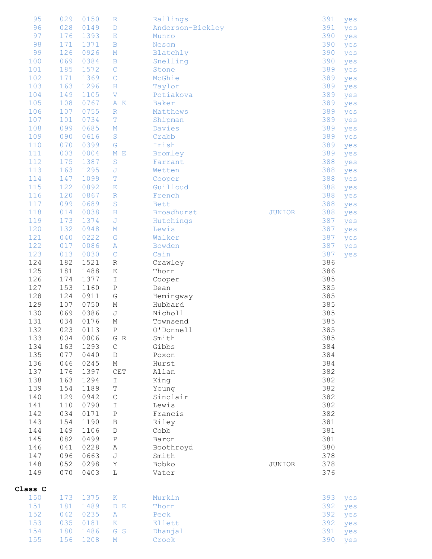| 95         | 029        | 0150         | $\mathbb R$               | Rallings         |               | 391        | yes |
|------------|------------|--------------|---------------------------|------------------|---------------|------------|-----|
| 96         | 028        | 0149         | $\mathbb D$               | Anderson-Bickley |               | 391        | yes |
| 97         | 176        | 1393         | $\mathbf{E}% _{0}$        | Munro            |               | 390        | yes |
| 98         | 171        | 1371         | $\, {\bf B}$              | Nesom            |               | 390        | yes |
| 99         | 126        | 0926         | $\mathbb M$               | Blatchly         |               | 390        | yes |
| 100        | 069        | 0384         | $\, {\bf B}$              | Snelling         |               | 390        | yes |
| 101        | 185        | 1572         | $\mathsf C$               | Stone            |               | 389        | yes |
| 102        | 171        | 1369         | $\mathsf C$               | McGhie           |               | 389        | yes |
| 103        | 163        | 1296         | $\rm H$                   | Taylor           |               | 389        | yes |
| 104        | 149        | 1105         | $\boldsymbol{\nabla}$     | Potiakova        |               | 389        | yes |
| 105        | 108        | 0767         | A K                       | Baker            |               | 389        | yes |
| 106        | 107        | 0755         | $\mathbb R$               | Matthews         |               | 389        | yes |
| 107        | 101        | 0734         | $\mathbb T$               | Shipman          |               | 389        | yes |
| 108        | 099        | 0685         | $\mathbb M$               | Davies           |               | 389        | yes |
| 109        | 090        | 0616         | $\rm S$                   | Crabb            |               | 389        | yes |
| 110        | 070        | 0399         | ${\mathbb G}$             | Irish            |               | 389        | yes |
| 111        | 003        | 0004         | $M$ E                     | Bromley          |               | 389        | yes |
| 112        | 175        | 1387         | $\rm S$                   | Farrant          |               | 388        | yes |
| 113        | 163        | 1295         | $\mathbb J$               | Wetten           |               | 388        | yes |
| 114        | 147        | 1099         | $\mathbb T$               | Cooper           |               | 388        | yes |
| 115        | 122        | 0892         | Ε                         | Guilloud         |               | 388        | yes |
| 116        | 120        | 0867         | $\mathbb R$               | French           |               | 388        | yes |
| 117        | 099        | 0689         | $\rm S$                   | <b>Bett</b>      |               | 388        | yes |
| 118        | 014        | 0038         | H                         | Broadhurst       | <b>JUNIOR</b> | 388        | yes |
| 119        | 173        | 1374         | $\mathbb J$               | Hutchings        |               | 387        | yes |
| 120        | 132        | 0948         | $\mathbb M$               | Lewis            |               | 387        | yes |
| 121        | 040        | 0222         | ${\mathbb G}$             | Walker           |               | 387        | yes |
| 122        | 017        | 0086         | A                         | Bowden           |               | 387        | yes |
| 123        | 013        | 0030         | $\mathsf C$               | Cain             |               | 387        | yes |
| 124        | 182        | 1521         | $\mathbb R$               | Crawley          |               | 386        |     |
| 125        | 181        | 1488         | Ε                         | Thorn            |               | 386        |     |
| 126        | 174        | 1377         | $\mathbbm{I}$             | Cooper           |               | 385        |     |
| 127        | 153        | 1160         | $\, {\mathbb P}$          | Dean             |               | 385        |     |
| 128        | 124        | 0911         | ${\mathbb G}$             | Hemingway        |               | 385        |     |
| 129        | 107        | 0750         | $\mathop{\rm M}\nolimits$ | Hubbard          |               | 385        |     |
| 130        | 069        | 0386         | $\mathbb J$               | Nicholl          |               | 385        |     |
| 131        | 034        | 0176         | М                         | Townsend         |               | 385        |     |
| 132        | 023        | 0113         | Ρ                         | O'Donnell        |               | 385        |     |
| 133        | 004        | 0006         | G R                       | Smith            |               | 385        |     |
| 134        | 163        | 1293         | $\mathsf C$               | Gibbs            |               | 384        |     |
| 135        | 077        | 0440         | $\mathbb D$               | Poxon            |               | 384        |     |
| 136        | 046        | 0245         | М                         | Hurst            |               | 384        |     |
| 137        | 176        | 1397         | $\mathop{\mathtt{CET}}$   | Allan            |               | 382        |     |
| 138        | 163        | 1294         | $\mathbbm{I}$             | King             |               | 382        |     |
| 139        | 154        | 1189         | $\mathbb T$               | Young            |               | 382        |     |
| 140        | 129        | 0942         | $\mathsf C$               | Sinclair         |               | 382        |     |
| 141        | 110        | 0790         | $\mathbbm{I}$             | Lewis            |               | 382        |     |
| 142        | 034        | 0171         | $\, {\bf P}$              | Francis          |               | 382        |     |
| 143        | 154        | 1190         | $\, {\bf B}$              | Riley            |               | 381        |     |
| 144        | 149        | 1106         | $\mathbb D$               | Cobb             |               | 381        |     |
| 145        | 082        | 0499         | $\, {\bf P}$              | Baron            |               | 381        |     |
| 146        |            |              |                           | Boothroyd        |               | 380        |     |
|            | 041        | 0228         | Α                         |                  |               |            |     |
| 147        | 096        | 0663         | J                         | Smith            |               | 378        |     |
| 148        | 052        | 0298         | Υ                         | Bobko            | JUNIOR        | 378        |     |
| 149        | 070        | 0403         | $\mathbb L$               | Vater            |               | 376        |     |
| Class C    |            |              |                           |                  |               |            |     |
| 150        | 173        | 1375         | $\rm K$                   | Murkin           |               | 393        | yes |
| 151        | 181        | 1489         | $\mathbb{D}^-\mathbb{E}$  | Thorn            |               | 392        | yes |
| 152        | 042        | 0235         | $\, {\bf \bar{A}}$        | Peck             |               | 392        | yes |
| 153        | 035        | 0181         | $\rm K$                   | Ellett           |               | 392        | yes |
| 154<br>155 | 180<br>156 | 1486<br>1208 | G S                       | Dhanjal          |               | 391<br>390 | yes |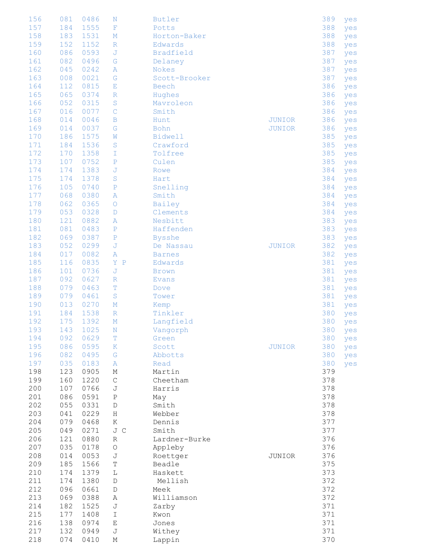| 156 | 081 | 0486 | N                     | <b>Butler</b>  |               | 389 | yes     |
|-----|-----|------|-----------------------|----------------|---------------|-----|---------|
| 157 | 184 | 1555 | $\mathbf{F}% _{0}$    | Potts          |               | 388 | yes     |
| 158 | 183 | 1531 | М                     | Horton-Baker   |               | 388 | yes     |
| 159 | 152 | 1152 | $\mathbb R$           | Edwards        |               | 388 | yes     |
| 160 | 086 | 0593 | J                     | Bradfield      |               | 387 |         |
| 161 | 082 | 0496 | G                     | Delaney        |               | 387 | yes     |
| 162 | 045 | 0242 |                       | Nokes          |               | 387 | yes     |
|     |     |      | Α                     |                |               |     | yes     |
| 163 | 008 | 0021 | G                     | Scott-Brooker  |               | 387 | yes     |
| 164 | 112 | 0815 | Ε                     | Beech          |               | 386 | yes     |
| 165 | 065 | 0374 | $\mathbb R$           | Hughes         |               | 386 | yes     |
| 166 | 052 | 0315 | $\rm S$               | Mavroleon      |               | 386 | yes     |
| 167 | 016 | 0077 | $\mathsf{C}$          | Smith          |               | 386 | yes     |
| 168 | 014 | 0046 | $\mathbf B$           | Hunt           | <b>JUNIOR</b> | 386 | yes     |
| 169 | 014 | 0037 | G                     | Bohn           | <b>JUNIOR</b> | 386 | yes     |
| 170 | 186 | 1575 | W                     | <b>Bidwell</b> |               | 385 | yes     |
| 171 | 184 | 1536 | $\rm S$               | Crawford       |               | 385 | yes     |
| 172 | 170 | 1358 | I                     | Tolfree        |               | 385 | yes     |
| 173 | 107 | 0752 | ${\bf P}$             | Culen          |               | 385 | yes     |
| 174 | 174 | 1383 | J                     | Rowe           |               | 384 | yes     |
| 175 | 174 | 1378 | S                     | Hart           |               | 384 | yes     |
| 176 | 105 | 0740 | ${\bf P}$             | Snelling       |               | 384 | yes     |
| 177 | 068 | 0380 | Α                     | Smith          |               | 384 | yes     |
| 178 | 062 | 0365 | $\circ$               | Bailey         |               | 384 | yes     |
| 179 | 053 | 0328 | D                     | Clements       |               | 384 | yes     |
| 180 | 121 | 0882 | Α                     | Nesbitt        |               | 383 | yes     |
| 181 | 081 | 0483 | $\mathbf P$           | Haffenden      |               | 383 | yes     |
| 182 | 069 | 0387 | $\mathbf P$           | <b>Bysshe</b>  |               | 383 | yes     |
| 183 | 052 | 0299 | J                     | De Nassau      | <b>JUNIOR</b> | 382 | yes     |
| 184 | 017 | 0082 | Α                     | <b>Barnes</b>  |               | 382 | yes     |
| 185 | 116 | 0835 | Y<br>$\, {\mathbb P}$ | Edwards        |               | 381 | yes     |
| 186 | 101 | 0736 | J                     | <b>Brown</b>   |               | 381 | yes     |
| 187 | 092 | 0627 | $\mathbb R$           | <b>Evans</b>   |               | 381 | yes     |
| 188 | 079 | 0463 | T                     | Dove           |               | 381 | yes     |
| 189 | 079 | 0461 | $\rm S$               | Tower          |               | 381 | yes     |
| 190 | 013 | 0270 | $\mathbf M$           | Kemp           |               | 381 | yes     |
| 191 | 184 | 1538 | $\mathbb R$           | Tinkler        |               | 380 | yes     |
| 192 | 175 | 1392 | $M_{\odot}$           | Langfield      |               | 380 | yes     |
| 193 | 143 | 1025 | $\;$ N                | Vangorph       |               |     | 380 yes |
| 194 | 092 | 0629 | т                     | Green          |               | 380 | yes     |
| 195 | 086 | 0595 | К                     | Scott          | <b>JUNIOR</b> | 380 | yes     |
| 196 | 082 | 0495 | G                     | Abbotts        |               | 380 |         |
| 197 | 035 | 0183 | Α                     | Read           |               | 380 | yes     |
| 198 | 123 | 0905 |                       |                |               | 379 | yes     |
| 199 | 160 | 1220 | М                     | Martin         |               |     |         |
|     |     |      | $\mathsf{C}$          | Cheetham       |               | 378 |         |
| 200 | 107 | 0766 | J                     | Harris         |               | 378 |         |
| 201 | 086 | 0591 | Ρ                     | May            |               | 378 |         |
| 202 | 055 | 0331 | D                     | Smith          |               | 378 |         |
| 203 | 041 | 0229 | Η                     | Webber         |               | 378 |         |
| 204 | 079 | 0468 | Κ                     | Dennis         |               | 377 |         |
| 205 | 049 | 0271 | J C                   | Smith          |               | 377 |         |
| 206 | 121 | 0880 | R                     | Lardner-Burke  |               | 376 |         |
| 207 | 035 | 0178 | $\bigcirc$            | Appleby        |               | 376 |         |
| 208 | 014 | 0053 | J                     | Roettger       | JUNIOR        | 376 |         |
| 209 | 185 | 1566 | $\mathbb T$           | Beadle         |               | 375 |         |
| 210 | 174 | 1379 | L                     | Haskett        |               | 373 |         |
| 211 | 174 | 1380 | $\mathbb D$           | Mellish        |               | 372 |         |
| 212 | 096 | 0661 | $\mathbb D$           | Meek           |               | 372 |         |
| 213 | 069 | 0388 | Α                     | Williamson     |               | 372 |         |
| 214 | 182 | 1525 | J                     | Zarby          |               | 371 |         |
| 215 | 177 | 1408 | I                     | Kwon           |               | 371 |         |
| 216 | 138 | 0974 | Е                     | Jones          |               | 371 |         |
| 217 | 132 | 0949 | J                     | Withey         |               | 371 |         |
| 218 | 074 | 0410 | М                     | Lappin         |               | 370 |         |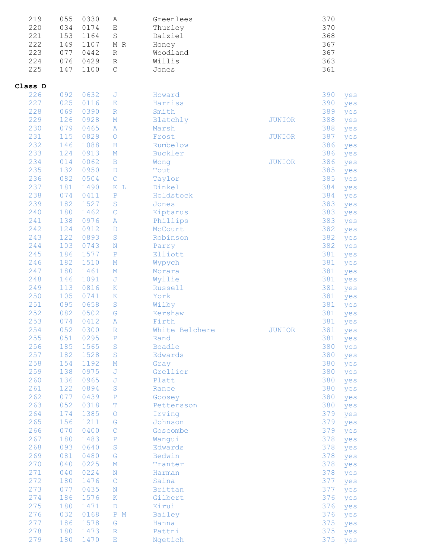| 219     | 055 | 0330 | Α            | Greenlees      |               | 370 |     |
|---------|-----|------|--------------|----------------|---------------|-----|-----|
| 220     | 034 | 0174 | $\mathbf E$  | Thurley        |               | 370 |     |
| 221     | 153 | 1164 | $\rm S$      | Dalziel        |               | 368 |     |
| 222     | 149 | 1107 | M R          | Honey          |               | 367 |     |
| 223     | 077 | 0442 | R            | Woodland       |               | 367 |     |
| 224     | 076 | 0429 | R            | Willis         |               | 363 |     |
| 225     | 147 | 1100 | $\mathsf C$  | Jones          |               | 361 |     |
|         |     |      |              |                |               |     |     |
| Class D |     |      |              |                |               |     |     |
| 226     | 092 | 0632 | J            | Howard         |               | 390 | yes |
| 227     | 025 | 0116 | Ε            | Harriss        |               | 390 | yes |
| 228     | 069 | 0390 | $\mathbb R$  | Smith          |               | 389 | yes |
| 229     | 126 | 0928 | $\mathbf M$  | Blatchly       | <b>JUNIOR</b> | 388 | yes |
| 230     | 079 | 0465 | Α            | Marsh          |               | 388 | yes |
| 231     | 115 | 0829 | $\bigcirc$   | Frost          | <b>JUNIOR</b> | 387 | yes |
| 232     | 146 | 1088 | $\, {\rm H}$ | Rumbelow       |               | 386 | yes |
| 233     | 124 | 0913 | $\mathbf M$  | Buckler        |               | 386 | yes |
| 234     | 014 | 0062 | $\mathbf B$  | Wong           | <b>JUNIOR</b> | 386 | yes |
| 235     | 132 | 0950 | $\mathbb D$  | Tout           |               | 385 | yes |
| 236     | 082 | 0504 | $\mathsf{C}$ | Taylor         |               | 385 | yes |
| 237     | 181 | 1490 | K L          | Dinkel         |               | 384 | yes |
| 238     | 074 | 0411 | $\mathbf P$  | Holdstock      |               | 384 | yes |
| 239     | 182 | 1527 | $\rm S$      | Jones          |               | 383 | yes |
| 240     | 180 | 1462 | $\mathsf{C}$ | Kiptarus       |               | 383 | yes |
| 241     | 138 | 0976 | Α            | Phillips       |               | 383 | yes |
| 242     | 124 | 0912 | $\mathbb D$  | McCourt        |               | 382 | yes |
| 243     | 122 | 0893 | $\rm S$      | Robinson       |               | 382 | yes |
| 244     | 103 | 0743 | $\mathbb N$  | Parry          |               | 382 | yes |
| 245     | 186 | 1577 | $\mathbf P$  | Elliott        |               | 381 | yes |
| 246     | 182 | 1510 | $\mathbb M$  | Wypych         |               | 381 | yes |
| 247     | 180 | 1461 | $\mathbb M$  | Morara         |               | 381 | yes |
| 248     | 146 | 1091 | J            | Wyllie         |               | 381 | yes |
| 249     | 113 | 0816 | К            | Russell        |               | 381 | yes |
| 250     | 105 | 0741 | К            | York           |               | 381 | yes |
| 251     | 095 | 0658 | $\mathbf S$  | Wilby          |               | 381 | yes |
| 252     | 082 | 0502 | G            | Kershaw        |               | 381 | yes |
| 253     | 074 | 0412 | Α            | Firth          |               | 381 | yes |
| 254     | 052 | 0300 | $\mathbb R$  | White Belchere | JUNIOR        | 381 | yes |
| 255     | 051 | 0295 | $\mathbf P$  | Rand           |               | 381 | yes |
| 256     | 185 | 1565 | $\rm S$      | Beadle         |               | 380 | yes |
| 257     | 182 | 1528 | $\mathbf S$  | Edwards        |               | 380 | yes |
| 258     | 154 | 1192 | $\mathbf M$  | Gray           |               | 380 | yes |
| 259     | 138 | 0975 | $\mathbb J$  | Grellier       |               | 380 | yes |
| 260     | 136 | 0965 | J            | Platt          |               | 380 | yes |
| 261     | 122 | 0894 | $\rm S$      | Rance          |               | 380 | yes |
| 262     | 077 | 0439 | $\, {\bf P}$ | Goosey         |               | 380 | yes |
| 263     | 052 | 0318 | T            | Pettersson     |               | 380 | yes |
| 264     | 174 | 1385 | $\circ$      | Irving         |               | 379 | yes |
| 265     | 156 | 1211 | G            | Johnson        |               | 379 | yes |
| 266     | 070 | 0400 | $\mathbf C$  | Goscombe       |               | 379 | yes |
| 267     | 180 | 1483 | $\, {\bf P}$ | Wangui         |               | 378 | yes |
| 268     | 093 | 0640 | $\rm S$      | Edwards        |               | 378 | yes |
| 269     | 081 | 0480 | G            | Bedwin         |               | 378 | yes |
| 270     | 040 | 0225 | $\mathbf M$  | Tranter        |               | 378 | yes |
| 271     | 040 | 0224 | $\rm N$      | Harman         |               | 378 | yes |
| 272     | 180 | 1476 | $\mathbf C$  | Saina          |               | 377 | yes |
| 273     | 077 | 0435 | $\rm N$      | Brittan        |               | 377 | yes |
| 274     | 186 | 1576 | К            | Gilbert        |               | 376 | yes |
| 275     | 180 | 1471 | D            | Kirui          |               | 376 | yes |
| 276     | 032 | 0168 | P M          | Bailey         |               | 376 | yes |
| 277     | 186 | 1578 | G            | Hanna          |               | 375 | yes |
| 278     | 180 | 1473 | $\mathbb R$  | Pattni         |               | 375 | yes |
| 279     | 180 | 1470 | Ε            | Ngetich        |               | 375 | yes |
|         |     |      |              |                |               |     |     |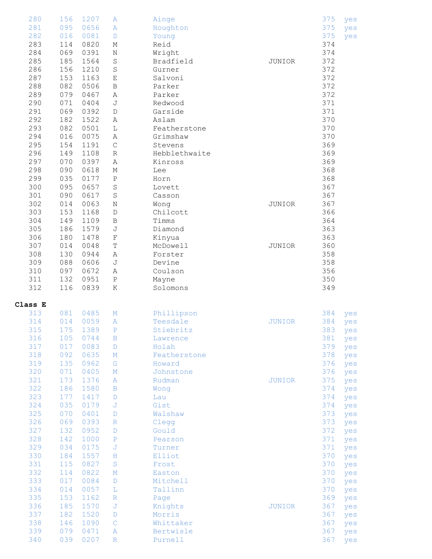| 280<br>281<br>282<br>283<br>284<br>285<br>286<br>287<br>288<br>289<br>290<br>291<br>292<br>293<br>294<br>295<br>296<br>297<br>298<br>299<br>300<br>301<br>302 | 156<br>095<br>016<br>114<br>069<br>185<br>156<br>153<br>082<br>079<br>071<br>069<br>182<br>082<br>016<br>154<br>149<br>070<br>090<br>035<br>095<br>090<br>014 | 1207<br>0656<br>0081<br>0820<br>0391<br>1564<br>1210<br>1163<br>0506<br>0467<br>0404<br>0392<br>1522<br>0501<br>0075<br>1191<br>1108<br>0397<br>0618<br>0177<br>0657<br>0617<br>0063 | Α<br>Α<br>$\mathbf S$<br>М<br>Ν<br>$\mathbf S$<br>$\mathbf S$<br>E<br>$\, {\bf B}$<br>Α<br>$\mathbb J$<br>$\mathbb D$<br>Α<br>L<br>Α<br>$\mathsf C$<br>$\mathbb R$<br>$\, {\tt A}$<br>$\mathbb M$<br>$\, {\mathbb P}$<br>$\mathbf S$<br>$\mathbf S$<br>$\rm N$ | Ainge<br>Houghton<br>Young<br>Reid<br>Wright<br>Bradfield<br>Gurner<br>Salvoni<br>Parker<br>Parker<br>Redwood<br>Garside<br>Aslam<br>Featherstone<br>Grimshaw<br>Stevens<br>Hebblethwaite<br>Kinross<br>Lee<br>Horn<br>Lovett<br>Casson<br>Wong | <b>JUNIOR</b><br>JUNIOR        | 375<br>375<br>375<br>374<br>374<br>372<br>372<br>372<br>372<br>372<br>371<br>371<br>370<br>370<br>370<br>369<br>369<br>369<br>368<br>368<br>367<br>367<br>367 | yes<br>yes<br>yes                                                                                                   |
|---------------------------------------------------------------------------------------------------------------------------------------------------------------|---------------------------------------------------------------------------------------------------------------------------------------------------------------|--------------------------------------------------------------------------------------------------------------------------------------------------------------------------------------|----------------------------------------------------------------------------------------------------------------------------------------------------------------------------------------------------------------------------------------------------------------|-------------------------------------------------------------------------------------------------------------------------------------------------------------------------------------------------------------------------------------------------|--------------------------------|---------------------------------------------------------------------------------------------------------------------------------------------------------------|---------------------------------------------------------------------------------------------------------------------|
| 303<br>304<br>305<br>306<br>307<br>308<br>309<br>310<br>311<br>312                                                                                            | 153<br>149<br>186<br>180<br>014<br>130<br>088<br>097<br>132<br>116                                                                                            | 1168<br>1109<br>1579<br>1478<br>0048<br>0944<br>0606<br>0672<br>0951<br>0839                                                                                                         | $\mathbb D$<br>$\, {\bf B}$<br>J<br>$\overline{\mathrm{F}}$<br>$\mathbb T$<br>$\, {\bf A}$<br>J<br>Α<br>$\, {\bf P}$<br>К                                                                                                                                      | Chilcott<br>Timms<br>Diamond<br>Kinyua<br>McDowell<br>Forster<br>Devine<br>Coulson<br>Mayne<br>Solomons                                                                                                                                         | JUNIOR                         | 366<br>364<br>363<br>363<br>360<br>358<br>358<br>356<br>350<br>349                                                                                            |                                                                                                                     |
| Class E<br>313<br>314<br>315<br>316<br>317<br>318<br>319<br>320                                                                                               | 081<br>014<br>105<br>017<br>092<br>135<br>071                                                                                                                 | 0485<br>0059<br>175 1389<br>0744<br>0083<br>0635<br>0962                                                                                                                             | $\mathbf M$<br>Α<br>$\mathbb{P}$<br>$\mathbf B$<br>$\mathbb D$<br>$\mathbb M$<br>${\mathbb G}$                                                                                                                                                                 | Phillipson<br>Teesdale<br>Stiebritz<br>Lawrence<br>Holah<br>Featherstone<br>Howard                                                                                                                                                              | <b>JUNIOR</b>                  | 384<br>384<br>383 yes<br>381<br>379<br>378                                                                                                                    | yes<br>yes<br>yes<br>yes<br>yes                                                                                     |
|                                                                                                                                                               |                                                                                                                                                               | 0405                                                                                                                                                                                 | $\mathbf M$                                                                                                                                                                                                                                                    | Johnstone                                                                                                                                                                                                                                       |                                | 376<br>376                                                                                                                                                    | yes<br>yes                                                                                                          |
| 321<br>322<br>323<br>324<br>325<br>326<br>327<br>328<br>329<br>330<br>331<br>332<br>333<br>334<br>335<br>336<br>337                                           | 173<br>186<br>177<br>035<br>070<br>069<br>132<br>142<br>034<br>184<br>115<br>114<br>017<br>014<br>153<br>185<br>182                                           | 1376<br>1580<br>1417<br>0179<br>0401<br>0393<br>0952<br>1000<br>0175<br>1557<br>0827<br>0822<br>0084<br>0057<br>1162<br>1570<br>1520                                                 | Α<br>$\, {\bf B}$<br>D<br>J<br>D<br>$\mathbb R$<br>$\mathbb D$<br>$\, {\bf P}$<br>J<br>Η<br>$\rm S$<br>$\mathbf M$<br>D<br>L<br>$\mathbb R$<br>J<br>$\mathbb D$                                                                                                | Rudman<br>Wong<br>Lau<br>Gist<br>Walshaw<br>Clegg<br>Gould<br>Pearson<br>Turner<br>Elliot<br>Frost<br>Easton<br>Mitchell<br>Tallinn<br>Page<br>Knights<br>Morris                                                                                | <b>JUNIOR</b><br><b>JUNIOR</b> | 375<br>374<br>374<br>374<br>373<br>373<br>372<br>371<br>371<br>370<br>370<br>370<br>370<br>370<br>369<br>367<br>367                                           | yes<br>yes<br>yes<br>yes<br>yes<br>yes<br>yes<br>yes<br>yes<br>yes<br>yes<br>yes<br>yes<br>yes<br>yes<br>yes<br>yes |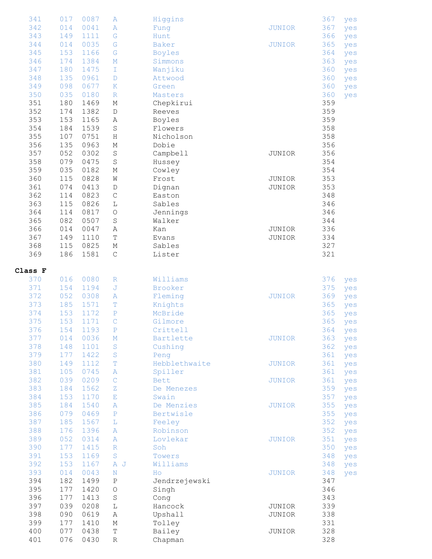| 341     | 017 | 0087 | A                  | Higgins       |               | 367 | yes |
|---------|-----|------|--------------------|---------------|---------------|-----|-----|
| 342     | 014 | 0041 | Α                  | Fung          | <b>JUNIOR</b> | 367 | yes |
|         |     |      |                    |               |               |     |     |
| 343     | 149 | 1111 | G                  | Hunt          |               | 366 | yes |
| 344     | 014 | 0035 | G                  | Baker         | <b>JUNIOR</b> | 365 | yes |
| 345     | 153 | 1166 | G                  | <b>Boyles</b> |               | 364 | yes |
| 346     | 174 | 1384 | $\mathbb M$        | Simmons       |               | 363 | yes |
| 347     | 180 | 1475 | I                  |               |               | 360 |     |
|         |     |      |                    | Wanjiku       |               |     | yes |
| 348     | 135 | 0961 | D                  | Attwood       |               | 360 | yes |
| 349     | 098 | 0677 | K                  | Green         |               | 360 | yes |
| 350     | 035 | 0180 | $\mathbb R$        | Masters       |               | 360 | yes |
| 351     | 180 | 1469 | Μ                  | Chepkirui     |               | 359 |     |
|         |     |      |                    |               |               |     |     |
| 352     | 174 | 1382 | D                  | Reeves        |               | 359 |     |
| 353     | 153 | 1165 | Α                  | Boyles        |               | 359 |     |
| 354     | 184 | 1539 | $\rm S$            | Flowers       |               | 358 |     |
| 355     | 107 | 0751 | Η                  | Nicholson     |               | 358 |     |
| 356     | 135 | 0963 | М                  | Dobie         |               | 356 |     |
|         | 052 |      |                    |               |               |     |     |
| 357     |     | 0302 | $\rm S$            | Campbell      | JUNIOR        | 356 |     |
| 358     | 079 | 0475 | $\rm S$            | Hussey        |               | 354 |     |
| 359     | 035 | 0182 | М                  | Cowley        |               | 354 |     |
| 360     | 115 | 0828 | W                  | Frost         | JUNIOR        | 353 |     |
| 361     | 074 | 0413 | D                  | Dignan        | JUNIOR        | 353 |     |
|         |     |      |                    |               |               |     |     |
| 362     | 114 | 0823 | $\mathsf C$        | Easton        |               | 348 |     |
| 363     | 115 | 0826 | L                  | Sables        |               | 346 |     |
| 364     | 114 | 0817 | $\bigcirc$         | Jennings      |               | 346 |     |
| 365     | 082 | 0507 | $\rm S$            | Walker        |               | 344 |     |
| 366     | 014 | 0047 |                    |               | JUNIOR        | 336 |     |
|         |     |      | Α                  | Kan           |               |     |     |
| 367     | 149 | 1110 | T                  | Evans         | JUNIOR        | 334 |     |
| 368     | 115 | 0825 | М                  | Sables        |               | 327 |     |
| 369     | 186 | 1581 | $\mathsf C$        | Lister        |               | 321 |     |
|         |     |      |                    |               |               |     |     |
|         |     |      |                    |               |               |     |     |
| Class F |     |      |                    |               |               |     |     |
| 370     | 016 | 0080 | R                  | Williams      |               | 376 | yes |
| 371     | 154 | 1194 | J                  | Brooker       |               | 375 | yes |
| 372     | 052 | 0308 | Α                  | Fleming       | <b>JUNIOR</b> | 369 | yes |
| 373     | 185 | 1571 | т                  | Knights       |               | 365 |     |
|         |     |      |                    |               |               |     | yes |
| 374     | 153 | 1172 | Ρ                  | McBride       |               | 365 | yes |
| 375     | 153 | 1171 | $\mathsf{C}$       | Gilmore       |               | 365 | yes |
| 376     | 154 | 1193 | $\, {\mathbb P}$   | Crittell      |               | 364 | yes |
| 377     | 014 | 0036 | $\mathbf M$        | Bartlette     | JUNIOR        | 363 | yes |
| 378     | 148 | 1101 | $\rm S$            | Cushing       |               | 362 | yes |
|         |     |      |                    |               |               |     |     |
| 379     | 177 | 1422 | $\rm S$            | Peng          |               | 361 | yes |
| 380     | 149 | 1112 | $\mathbb T$        | Hebblethwaite | <b>JUNIOR</b> | 361 | yes |
| 381     | 105 | 0745 | $\, {\bf A}$       | Spiller       |               | 361 | yes |
| 382     | 039 | 0209 | $\mathsf C$        | <b>Bett</b>   | <b>JUNIOR</b> | 361 | yes |
| 383     | 184 | 1562 | $\rm{Z}$           | De Menezes    |               | 359 | yes |
| 384     |     |      |                    | Swain         |               |     |     |
|         | 153 | 1170 | $\mathbf{E}% _{0}$ |               |               | 357 | yes |
| 385     | 184 | 1540 | A                  | De Menzies    | <b>JUNIOR</b> | 355 | yes |
| 386     | 079 | 0469 | $\, {\bf P}$       | Bertwisle     |               | 355 | yes |
| 387     | 185 | 1567 | L                  | Feeley        |               | 352 | yes |
| 388     | 176 | 1396 | Α                  | Robinson      |               | 352 | yes |
|         |     |      |                    |               |               |     |     |
| 389     | 052 | 0314 | $\, {\bf A}$       | Lovlekar      | <b>JUNIOR</b> | 351 | yes |
| 390     | 177 | 1415 | $\mathbb R$        | Soh           |               | 350 | yes |
| 391     | 153 | 1169 | $\rm S$            | Towers        |               | 348 | yes |
| 392     | 153 | 1167 | A J                | Williams      |               | 348 | yes |
| 393     | 014 | 0043 | $\mathbf N$        | Ho            | <b>JUNIOR</b> | 348 |     |
|         |     |      |                    |               |               |     | yes |
| 394     | 182 | 1499 | $\, {\bf P}$       | Jendrzejewski |               | 347 |     |
| 395     | 177 | 1420 | $\bigcirc$         | Singh         |               | 346 |     |
| 396     | 177 | 1413 | $\mathbf S$        | Cong          |               | 343 |     |
| 397     | 039 | 0208 | L                  | Hancock       | JUNIOR        | 339 |     |
| 398     | 090 | 0619 |                    |               | JUNIOR        | 338 |     |
|         |     |      | Α                  | Upshall       |               |     |     |
| 399     | 177 | 1410 | М                  | Tolley        |               | 331 |     |
| 400     | 077 | 0438 | $\mathbb T$        | Bailey        | JUNIOR        | 328 |     |
| 401     | 076 | 0430 | $\, {\mathbb R}$   | Chapman       |               | 328 |     |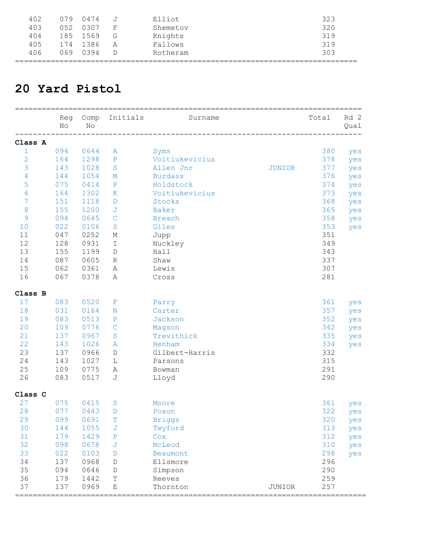| 402 | 079   | 0474 |   | Elliot   | 323 |
|-----|-------|------|---|----------|-----|
| 403 | 052   | 0307 |   | Shemetov | 320 |
| 404 | 185   | 1569 | G | Knights  | 319 |
| 405 | 174   | 1386 | А | Fallows  | 319 |
| 406 | N 69. | 0394 |   | Rotheram | 303 |
|     |       |      |   |          |     |

#### **20 Yard Pistol**

|                  | Reg<br>No | Comp<br>No | Initials      | Surname                                |                                  | Total | Rd 2<br>Qual |
|------------------|-----------|------------|---------------|----------------------------------------|----------------------------------|-------|--------------|
| Class A          |           |            |               |                                        |                                  |       |              |
| $1\,$            | 094       | 0644       | A             | Syms                                   |                                  | 380   | yes          |
| $\overline{c}$   | 164       | 1298       | $\mathbf P$   | Voitiukevicius                         |                                  | 378   | yes          |
| 3                | 143       | 1028       | S             | Allen Jnr                              | <b>JUNIOR</b>                    | 377   | yes          |
| 4                | 144       | 1054       | М             | <b>Burdass</b>                         |                                  | 376   | yes          |
| 5                | 075       | 0414       | ${\bf P}$     | Holdstock                              |                                  | 374   | yes          |
| 6                | 164       | 1302       | $\rm K$       | Voitiukevicius                         |                                  | 373   | yes          |
| 7                | 151       | 1118       | D             | Stocks                                 |                                  | 368   | yes          |
| $\boldsymbol{8}$ | 155       | 1200       | J             | Baker                                  |                                  | 365   | yes          |
| $\overline{9}$   | 094       | 0645       | $\mathsf{C}$  | <b>Breach</b>                          |                                  | 358   | yes          |
| 10               | 022       | 0106       | S             | Giles                                  |                                  | 353   | yes          |
| 11               | 047       | 0252       | М             | Jupp                                   |                                  | 351   |              |
| 12               | 128       | 0931       | Ι             | Nuckley                                |                                  | 349   |              |
| 13               | 155       | 1199       | D             | Hall                                   |                                  | 343   |              |
| 14               | 087       | 0605       | R             | Shaw                                   |                                  | 337   |              |
| 15               | 062       | 0361       | Α             | Lewis                                  |                                  | 307   |              |
| 16               | 067       | 0378       | Α             | Cross                                  |                                  | 281   |              |
| Class B          |           |            |               |                                        |                                  |       |              |
| 17               | 083       | 0520       | F             | Parry                                  |                                  | 361   | yes          |
| 18               | 031       | 0164       | $_{\rm N}$    | Carter                                 |                                  | 357   | yes          |
| 19               | 083       | 0513       | $\mathbf P$   | Jackson                                |                                  | 352   | yes          |
| 20               | 109       | 0776       | $\mathsf C$   | Magson                                 |                                  | 342   | yes          |
| 21               | 137       | 0967       | $\rm S$       | Trevithick                             |                                  | 335   | yes          |
| 22               | 143       | 1026       | A             | Henham                                 |                                  | 334   | yes          |
| 23               | 137       | 0966       | $\mathbb D$   | Gilbert-Harris                         |                                  | 332   |              |
| 24               | 143       | 1027       | L             | Parsons                                |                                  | 315   |              |
| 25               | 109       | 0775       | Α             | Bowman                                 |                                  | 291   |              |
| 26               | 083       | 0517       | J             | Lloyd                                  |                                  | 290   |              |
| Class C          |           |            |               |                                        |                                  |       |              |
| 27               | 075       | 0415       | S             | Moore                                  |                                  | 361   | yes          |
| 28               | 077       | 0443       | D             | Poxon                                  |                                  | 322   | yes          |
| 29               | 099       | 0691       | т             | <b>Briggs</b>                          |                                  | 320   | yes          |
| 30               | 144       | 1055       | J             | Twyford                                |                                  | 313   | yes          |
| 31               | 179       | 1429       | ${\mathbf P}$ | Cox                                    |                                  | 312   | yes          |
| 32               | 098       | 0678       | J             | McLeod                                 |                                  | 310   | yes          |
| 33               | 022       | 0103       | D             | Beaumont                               |                                  | 298   | yes          |
| 34               | 137       | 0968       | D             | Ellsmore                               |                                  | 296   |              |
| 35               | 094       | 0646       | D             | Simpson                                |                                  | 290   |              |
| 36               | 179       | 1442       | T             | Reeves                                 |                                  | 259   |              |
| 37               | 137       | 0969       | Ε             | Thornton                               | JUNIOR                           | 257   |              |
| =====            |           |            |               | ====================================== | ================================ |       |              |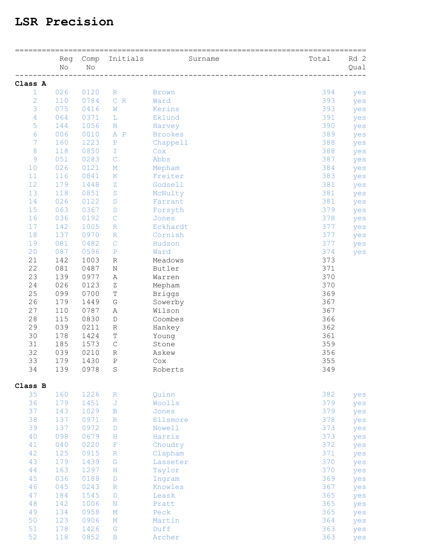#### **LSR Precision**

|                | Reg<br>No | Comp<br>No | Initials                      | Surname        | Total | Rd 2<br>Qual |
|----------------|-----------|------------|-------------------------------|----------------|-------|--------------|
| Class A        |           |            |                               |                |       |              |
| 1              | 026       | 0120       | $\mathbb R$                   | <b>Brown</b>   | 394   | yes          |
| $\overline{c}$ | 110       | 0784       | $\mathsf{C}^-$<br>$\mathbb R$ | Ward           | 393   | yes          |
| 3              | 075       | 0416       | W                             | Kerins         | 393   | yes          |
| 4              | 064       | 0371       | L.                            | Eklund         | 391   | yes          |
| 5              | 144       | 1056       | N                             | Harvey         | 390   | yes          |
| 6              | 006       | 0010       | $\mathbb A$<br>$\mathbf P$    | <b>Brookes</b> | 389   | yes          |
| 7              | 160       | 1223       | $\, {\bf P}$                  | Chappell       | 388   | yes          |
| 8              | 118       | 0850       | T                             | Cox            | 388   | yes          |
| 9              | 051       | 0283       | $\mathcal{C}$                 | Abbs           | 387   | yes          |
| 10             | 026       | 0121       | М                             | Mepham         | 384   | yes          |
| 11             | 116       | 0841       | Κ                             | Freiter        | 383   | yes          |
| 12             | 179       | 1448       | Ζ                             | Godsell        | 381   | yes          |
| 13             | 118       | 0851       | S                             | McNulty        | 381   | yes          |
| 14             | 026       | 0122       | S                             | Farrant        | 381   | yes          |
| 15             | 063       | 0367       | $\rm S$                       | Forsyth        | 379   | yes          |
| 16             | 036       | 0192       | C                             | Jones          | 378   | yes          |
| 17             | 142       | 1005       | $\mathbb R$                   | Eckhardt       | 377   | yes          |
| 18             | 137       | 0970       | $\mathbb R$                   | Cornish        | 377   | yes          |
| 19             | 081       | 0482       | $\mathbf C$                   | Hudson         | 377   | yes          |
| 20             | 087       | 0596       | $\, {\bf P}$                  | Ward           | 374   | yes          |
| 21             | 142       | 1003       | R                             | Meadows        | 373   |              |
| 22             | 081       | 0487       | N                             | Butler         | 371   |              |
| 23             | 139       | 0977       | Α                             | Warren         | 370   |              |
| 24             | 026       | 0123       | Ζ                             | Mepham         | 370   |              |
| 25             | 099       | 0700       | Т                             | <b>Briggs</b>  | 369   |              |
| 26             | 179       | 1449       | G                             | Sowerby        | 367   |              |
| 27             | 110       | 0787       | Α                             | Wilson         | 367   |              |
| 28             | 115       | 0830       | D                             | Coombes        | 366   |              |
| 29             | 039       | 0211       | R                             | Hankey         | 362   |              |
| 30             | 178       | 1424       | Т                             | Young          | 361   |              |
| 31             | 185       | 1573       | $\mathsf C$                   | Stone          | 359   |              |
| 32             | 039       | 0210       | $\, {\mathbb R}$              | Askew          | 356   |              |
| 33             | 179       | 1430       | P                             | Cox            | 355   |              |
| 34             | 139       | 0978       | $\rm S$                       | Roberts        | 349   |              |
| Class B        |           |            |                               |                |       |              |
| 35             | 160       | 1226       | $\mathbb R$                   | Quinn          | 382   | yes          |
| 36             | 179       | 1451       | J                             | Woolls         | 379   | yes          |
| 37             | 143       | 1029       | B                             | Jones          | 379   | yes          |
| 38             | 137       | 0971       | $\mathbb{R}$                  | Ellsmore       | 378   | yes          |
| 39             | 137       | 0972       | D                             | Nowell         | 373   | yes          |
| 40             | 098       | 0679       | H                             | Harris         | 373   | yes          |
| 41             | 040       | 0220       | $\mathbb F$                   | Choudry        | 372   | yes          |
| 42             | 125       | 0915       | $\mathbb R$                   | Clapham        | 371   | yes          |
| 43             | 179       | 1439       | ${\mathbb G}$                 | Lasseter       | 370   | yes          |
| 44             | 163       | 1297       | $\, {\rm H}$                  | Taylor         | 370   | yes          |
| 45             | 036       | 0188       | $\mathbb D$                   | Ingram         | 369   | yes          |
| 46             | 045       | 0243       | $\mathbb R$                   | Knowles        | 367   | yes          |
| 47             | 184       | 1545       | $\mathbb{D}$                  | Leask          | 365   | yes          |
| 48             | 142       | 1006       | $\mathbf N$                   | Pratt          | 365   | yes          |
| 49             | 134       | 0958       | $\mathbf M$                   | Peck           | 365   | yes          |
| 50             | 123       | 0906       | $\mathbf M$                   | Martin         | 364   | yes          |
| 51             | 178       | 1426       | ${\mathbb G}$                 | Duff           | 363   | yes          |
| 52             | 118       | 0852       | $\, {\bf B}$                  | Archer         | 363   | yes          |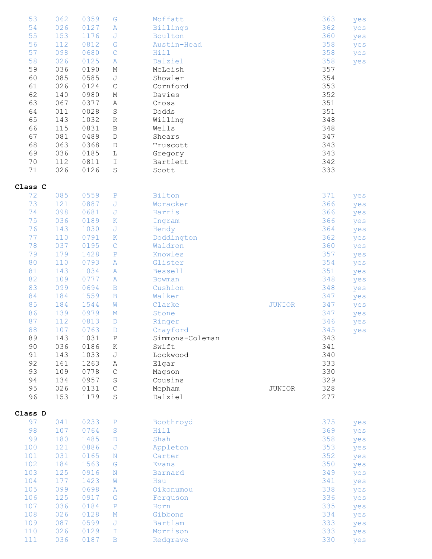| 53<br>54<br>55<br>56<br>57<br>58<br>59<br>60<br>61<br>62<br>63<br>64<br>65<br>66<br>67<br>68<br>69<br>70<br>71 | 062<br>026<br>153<br>112<br>098<br>026<br>036<br>085<br>026<br>140<br>067<br>011<br>143<br>115<br>081<br>063<br>036<br>112<br>026 | 0359<br>0127<br>1176<br>0812<br>0680<br>0125<br>0190<br>0585<br>0124<br>0980<br>0377<br>0028<br>1032<br>0831<br>0489<br>0368<br>0185<br>0811<br>0126 | G<br>$\mathbb{A}$<br>J<br>G<br>$\mathsf C$<br>A<br>М<br>$\mathbb J$<br>$\mathbf C$<br>М<br>Α<br>$\rm S$<br>$\mathbb R$<br>$\, {\bf B}$<br>$\mathbb D$<br>D<br>L<br>$\mathbbm{I}$<br>$\rm S$ | Moffatt<br>Billings<br>Boulton<br>Austin-Head<br>Hill<br>Dalziel<br>McLeish<br>Showler<br>Cornford<br>Davies<br>Cross<br>Dodds<br>Willing<br>Wells<br>Shears<br>Truscott<br>Gregory<br>Bartlett<br>Scott |               | 363<br>362<br>360<br>358<br>358<br>358<br>357<br>354<br>353<br>352<br>351<br>351<br>348<br>348<br>347<br>343<br>343<br>342<br>333 | yes<br>yes<br>yes<br>yes<br>yes<br>yes |
|----------------------------------------------------------------------------------------------------------------|-----------------------------------------------------------------------------------------------------------------------------------|------------------------------------------------------------------------------------------------------------------------------------------------------|---------------------------------------------------------------------------------------------------------------------------------------------------------------------------------------------|----------------------------------------------------------------------------------------------------------------------------------------------------------------------------------------------------------|---------------|-----------------------------------------------------------------------------------------------------------------------------------|----------------------------------------|
| Class C                                                                                                        |                                                                                                                                   |                                                                                                                                                      |                                                                                                                                                                                             |                                                                                                                                                                                                          |               |                                                                                                                                   |                                        |
| 72                                                                                                             | 085                                                                                                                               | 0559                                                                                                                                                 | $\, {\bf P}$                                                                                                                                                                                | Bilton                                                                                                                                                                                                   |               | 371                                                                                                                               | yes                                    |
| 73                                                                                                             | 121                                                                                                                               | 0887                                                                                                                                                 | J                                                                                                                                                                                           | Woracker                                                                                                                                                                                                 |               | 366                                                                                                                               | yes                                    |
| 74                                                                                                             | 098                                                                                                                               | 0681                                                                                                                                                 | $\mathbb J$                                                                                                                                                                                 | Harris                                                                                                                                                                                                   |               | 366                                                                                                                               | yes                                    |
| 75                                                                                                             | 036                                                                                                                               | 0189                                                                                                                                                 | $\rm K$                                                                                                                                                                                     | Ingram                                                                                                                                                                                                   |               | 366                                                                                                                               | yes                                    |
| 76                                                                                                             | 143                                                                                                                               | 1030                                                                                                                                                 | $\mathbb J$                                                                                                                                                                                 | Hendy                                                                                                                                                                                                    |               | 364                                                                                                                               | yes                                    |
| 77                                                                                                             | 110                                                                                                                               | 0791                                                                                                                                                 | $\rm K$                                                                                                                                                                                     | Doddington                                                                                                                                                                                               |               | 362                                                                                                                               | yes                                    |
| 78                                                                                                             | 037                                                                                                                               | 0195                                                                                                                                                 | $\mathbf C$                                                                                                                                                                                 | Waldron                                                                                                                                                                                                  |               | 360                                                                                                                               | yes                                    |
| 79                                                                                                             | 179                                                                                                                               | 1428                                                                                                                                                 | $\, {\bf P}$                                                                                                                                                                                | Knowles                                                                                                                                                                                                  |               | 357                                                                                                                               | yes                                    |
| 80                                                                                                             | 110                                                                                                                               | 0793                                                                                                                                                 | $\, {\bf A}$                                                                                                                                                                                | Glister                                                                                                                                                                                                  |               | 354                                                                                                                               | yes                                    |
| 81                                                                                                             | 143                                                                                                                               | 1034                                                                                                                                                 | A                                                                                                                                                                                           | <b>Bessell</b>                                                                                                                                                                                           |               | 351                                                                                                                               | yes                                    |
| 82                                                                                                             | 109                                                                                                                               | 0777                                                                                                                                                 | $\, {\bf A}$                                                                                                                                                                                | Bowman                                                                                                                                                                                                   |               | 348                                                                                                                               | yes                                    |
| 83                                                                                                             | 099                                                                                                                               | 0694                                                                                                                                                 | $\, {\bf B}$                                                                                                                                                                                | Cushion                                                                                                                                                                                                  |               | 348                                                                                                                               | yes                                    |
| 84                                                                                                             | 184                                                                                                                               | 1559                                                                                                                                                 | $\mathbf B$                                                                                                                                                                                 | Walker                                                                                                                                                                                                   |               | 347                                                                                                                               | yes                                    |
| 85                                                                                                             | 184                                                                                                                               | 1544                                                                                                                                                 | W                                                                                                                                                                                           | Clarke                                                                                                                                                                                                   | <b>JUNIOR</b> | 347                                                                                                                               | yes                                    |
| 86                                                                                                             | 139                                                                                                                               | 0979                                                                                                                                                 | М                                                                                                                                                                                           | Stone                                                                                                                                                                                                    |               | 347                                                                                                                               | yes                                    |
| 87                                                                                                             | 112                                                                                                                               | 0813                                                                                                                                                 | $\mathbb D$                                                                                                                                                                                 | Ringer                                                                                                                                                                                                   |               | 346                                                                                                                               | yes                                    |
| 88                                                                                                             | 107                                                                                                                               | 0763                                                                                                                                                 | $\mathbb{D}$                                                                                                                                                                                | Crayford                                                                                                                                                                                                 |               | 345                                                                                                                               | yes                                    |
| 89                                                                                                             | 143                                                                                                                               | 1031                                                                                                                                                 | $\mathbf P$                                                                                                                                                                                 | Simmons-Coleman                                                                                                                                                                                          |               | 343                                                                                                                               |                                        |
| 90                                                                                                             | 036                                                                                                                               | 0186                                                                                                                                                 | Κ                                                                                                                                                                                           | Swift                                                                                                                                                                                                    |               | 341                                                                                                                               |                                        |
| 91                                                                                                             | 143                                                                                                                               | 1033                                                                                                                                                 | $\mathbb J$                                                                                                                                                                                 | Lockwood                                                                                                                                                                                                 |               | 340                                                                                                                               |                                        |
| 92                                                                                                             | 161                                                                                                                               | 1263                                                                                                                                                 | Α                                                                                                                                                                                           | Elgar                                                                                                                                                                                                    |               | 333                                                                                                                               |                                        |
| 93                                                                                                             | 109                                                                                                                               | 0778                                                                                                                                                 | $\mathsf C$                                                                                                                                                                                 | Magson                                                                                                                                                                                                   |               | 330                                                                                                                               |                                        |
| 94                                                                                                             | 134                                                                                                                               | 0957                                                                                                                                                 | $\mathbf S$                                                                                                                                                                                 | Cousins                                                                                                                                                                                                  |               | 329                                                                                                                               |                                        |
| 95                                                                                                             | 026                                                                                                                               | 0131                                                                                                                                                 | $\mathbf C$                                                                                                                                                                                 | Mepham                                                                                                                                                                                                   | JUNIOR        | 328                                                                                                                               |                                        |
| 96                                                                                                             | 153                                                                                                                               | 1179                                                                                                                                                 | $\rm S$                                                                                                                                                                                     | Dalziel                                                                                                                                                                                                  |               | 277                                                                                                                               |                                        |
|                                                                                                                |                                                                                                                                   |                                                                                                                                                      |                                                                                                                                                                                             |                                                                                                                                                                                                          |               |                                                                                                                                   |                                        |
| Class D                                                                                                        |                                                                                                                                   |                                                                                                                                                      |                                                                                                                                                                                             |                                                                                                                                                                                                          |               |                                                                                                                                   |                                        |
| 97                                                                                                             | 041                                                                                                                               | 0233                                                                                                                                                 | $\mathbf P$                                                                                                                                                                                 | Boothroyd                                                                                                                                                                                                |               | 375                                                                                                                               | yes                                    |
| 98                                                                                                             | 107                                                                                                                               | 0764                                                                                                                                                 | S                                                                                                                                                                                           | Hill                                                                                                                                                                                                     |               | 369                                                                                                                               | yes                                    |
| 99                                                                                                             | 180                                                                                                                               | 1485                                                                                                                                                 | D                                                                                                                                                                                           | Shah                                                                                                                                                                                                     |               | 358                                                                                                                               | yes                                    |
| 100                                                                                                            | 121                                                                                                                               | 0886                                                                                                                                                 | J                                                                                                                                                                                           | Appleton                                                                                                                                                                                                 |               | 353                                                                                                                               | yes                                    |
| 101                                                                                                            | 031                                                                                                                               | 0165                                                                                                                                                 | N                                                                                                                                                                                           | Carter                                                                                                                                                                                                   |               | 352                                                                                                                               | yes                                    |
| 102                                                                                                            | 184                                                                                                                               | 1563                                                                                                                                                 | G                                                                                                                                                                                           | <b>Evans</b>                                                                                                                                                                                             |               | 350                                                                                                                               | yes                                    |
| 103                                                                                                            | 125                                                                                                                               | 0916                                                                                                                                                 | N                                                                                                                                                                                           | Barnard                                                                                                                                                                                                  |               | 349                                                                                                                               | yes                                    |
| 104                                                                                                            | 177                                                                                                                               | 1423                                                                                                                                                 | W                                                                                                                                                                                           | Hsu                                                                                                                                                                                                      |               | 341                                                                                                                               | yes                                    |
| 105                                                                                                            | 099                                                                                                                               | 0698                                                                                                                                                 | Α                                                                                                                                                                                           | Oikonumou                                                                                                                                                                                                |               | 338                                                                                                                               | yes                                    |
| 106                                                                                                            | 125                                                                                                                               | 0917                                                                                                                                                 | G                                                                                                                                                                                           | Ferguson                                                                                                                                                                                                 |               | 336                                                                                                                               | yes                                    |
| 107                                                                                                            | 036                                                                                                                               | 0184                                                                                                                                                 | $\, {\bf P}$                                                                                                                                                                                | Horn                                                                                                                                                                                                     |               | 335                                                                                                                               | yes                                    |
| 108                                                                                                            | 026                                                                                                                               | 0128                                                                                                                                                 | $\mathbf M$                                                                                                                                                                                 | Gibbons                                                                                                                                                                                                  |               | 334                                                                                                                               | yes                                    |
| 109                                                                                                            | 087                                                                                                                               | 0599                                                                                                                                                 | J                                                                                                                                                                                           | Bartlam                                                                                                                                                                                                  |               | 333                                                                                                                               | yes                                    |
| 110                                                                                                            | 026                                                                                                                               | 0129                                                                                                                                                 | I                                                                                                                                                                                           | Morrison                                                                                                                                                                                                 |               | 333                                                                                                                               | yes                                    |
| 111                                                                                                            | 036                                                                                                                               | 0187                                                                                                                                                 | $\mathbf B$                                                                                                                                                                                 | Redgrave                                                                                                                                                                                                 |               | 330                                                                                                                               | yes                                    |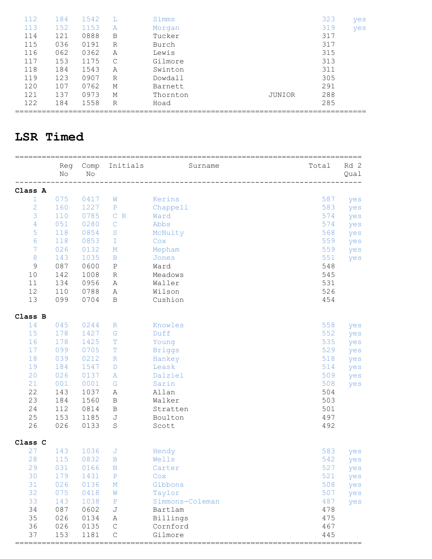| 112 | 184 | 1542 |   | Simms    |        | 323 | yes |
|-----|-----|------|---|----------|--------|-----|-----|
| 113 | 152 | 1153 | A | Morgan   |        | 319 | yes |
| 114 | 121 | 0888 | B | Tucker   |        | 317 |     |
| 115 | 036 | 0191 | R | Burch    |        | 317 |     |
| 116 | 062 | 0362 | Α | Lewis    |        | 315 |     |
| 117 | 153 | 1175 | C | Gilmore  |        | 313 |     |
| 118 | 184 | 1543 | Α | Swinton  |        | 311 |     |
| 119 | 123 | 0907 | R | Dowdall  |        | 305 |     |
| 120 | 107 | 0762 | М | Barnett  |        | 291 |     |
| 121 | 137 | 0973 | М | Thornton | JUNIOR | 288 |     |
| 122 | 184 | 1558 | R | Hoad     |        | 285 |     |
|     |     |      |   |          |        |     |     |

#### **LSR Timed**

|                | Reg<br>No | Comp<br>No | Initials     | Surname         | Total | Rd 2<br>Qual |
|----------------|-----------|------------|--------------|-----------------|-------|--------------|
| Class A        |           |            |              |                 |       |              |
| $\mathbf{1}$   | 075       | 0417       | W            | Kerins          | 587   | yes          |
| $\mathbf{2}$   | 160       | 1227       | $\mathbf{P}$ | Chappell        | 583   | yes          |
| 3              | 110       | 0785       | C R          | Ward            | 574   | yes          |
| $\sqrt{4}$     | 051       | 0280       | $\mathsf{C}$ | Abbs            | 574   | yes          |
| 5              | 118       | 0854       | S            | McNulty         | 568   | yes          |
| 6              | 118       | 0853       | T            | Cox             | 559   | yes          |
| $\overline{7}$ | 026       | 0132       | М            | Mepham          | 559   | yes          |
| $\,8\,$        | 143       | 1035       | $\, {\bf B}$ | Jones           | 551   | yes          |
| $\mathsf 9$    | 087       | 0600       | $\rm P$      | Ward            | 548   |              |
| 10             | 142       | 1008       | R            | Meadows         | 545   |              |
| 11             | 134       | 0956       | Α            | Waller          | 531   |              |
| 12             | 110       | 0788       | Α            | Wilson          | 526   |              |
| 13             | 099       | 0704       | B            | Cushion         | 454   |              |
| Class B        |           |            |              |                 |       |              |
| 14             | 045       | 0244       | $\mathbb R$  | Knowles         | 558   | yes          |
| 15             | 178       | 1427       | G            | Duff            | 552   | yes          |
| 16             | 178       | 1425       | $\mathbb T$  | Young           | 535   | yes          |
| 17             | 099       | 0705       | $\mathbb T$  | <b>Briggs</b>   | 529   | yes          |
| 18             | 039       | 0212       | $\mathbb R$  | Hankey          | 518   | yes          |
| 19             | 184       | 1547       | D            | Leask           | 514   | yes          |
| 20             | 026       | 0137       | Α            | Dalziel         | 509   | yes          |
| 21             | 001       | 0001       | G            | Sarin           | 508   | yes          |
| 22             | 143       | 1037       | Α            | Allan           | 504   |              |
| 23             | 184       | 1560       | B            | Walker          | 503   |              |
| 24             | 112       | 0814       | B            | Stratten        | 501   |              |
| $25$           | 153       | 1185       | J            | Boulton         | 497   |              |
| 26             | 026       | 0133       | S            | Scott           | 492   |              |
| Class C        |           |            |              |                 |       |              |
| 27             | 143       | 1036       | J            | Hendy           | 583   | yes          |
| 28             | 115       | 0832       | B            | Wells           | 542   | yes          |
| 29             | 031       | 0166       | N            | Carter          | 527   | yes          |
| 30             | 179       | 1431       | $\mathbf{P}$ | Cox             | 521   | yes          |
| 31             | 026       | 0136       | $\mathbb M$  | Gibbons         | 508   | yes          |
| 32             | 075       | 0418       | W            | Taylor          | 507   | yes          |
| 33             | 143       | 1038       | $\mathbf{P}$ | Simmons-Coleman | 487   | yes          |
| 34             | 087       | 0602       | J            | Bartlam         | 478   |              |
| 35             | 026       | 0134       | Α            | Billings        | 475   |              |
| 36             | 026       | 0135       | $\mathsf C$  | Cornford        | 467   |              |
| 37             | 153       | 1181       | $\mathsf C$  | Gilmore         | 445   |              |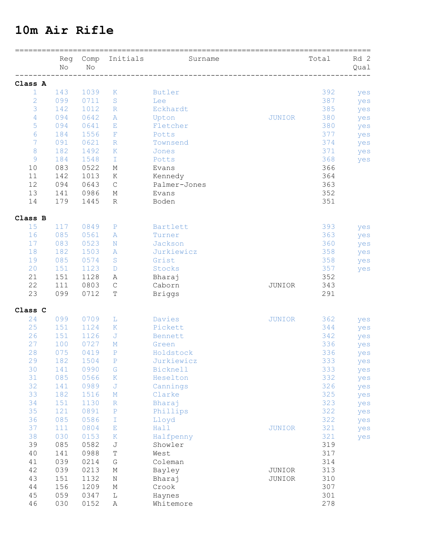#### **10m Air Rifle**

|                | Reg<br>No | Comp<br>No | Initials      | Surname         |               | Total | Rd 2<br>Qual |
|----------------|-----------|------------|---------------|-----------------|---------------|-------|--------------|
| Class A        |           |            |               |                 |               |       |              |
| $\mathbf{1}$   | 143       | 1039       | K             | Butler          |               | 392   | yes          |
| $\overline{2}$ | 099       | 0711       | S             | Lee             |               | 387   | yes          |
| 3              | 142       | 1012       | $\mathbb R$   | Eckhardt        |               | 385   | yes          |
| $\overline{4}$ | 094       | 0642       | A             | Upton           | <b>JUNIOR</b> | 380   | yes          |
| 5              | 094       | 0641       | E             | Fletcher        |               | 380   | yes          |
| 6              | 184       | 1556       | F             | Potts           |               | 377   | yes          |
| 7              | 091       | 0621       | $\mathbb R$   | Townsend        |               | 374   | yes          |
| 8              | 182       | 1492       | $\mathbf K$   | Jones           |               | 371   | yes          |
| $\overline{9}$ | 184       | 1548       | T             | Potts           |               | 368   | yes          |
| 10             | 083       | 0522       | Μ             | Evans           |               | 366   |              |
| 11             | 142       | 1013       | Κ             | Kennedy         |               | 364   |              |
| 12             | 094       | 0643       | $\mathsf{C}$  | Palmer-Jones    |               | 363   |              |
| 13             | 141       | 0986       | Μ             | Evans           |               | 352   |              |
| 14             | 179       | 1445       | R             | Boden           |               | 351   |              |
| Class B        |           |            |               |                 |               |       |              |
| 15             | 117       | 0849       | $\mathbf{P}$  | Bartlett        |               | 393   | yes          |
| 16             | 085       | 0561       | Α             | Turner          |               | 363   | yes          |
| 17             | 083       | 0523       | N             | Jackson         |               | 360   | yes          |
| 18             | 182       | 1503       | A             | Jurkiewicz      |               | 358   | yes          |
| 19             | 085       | 0574       | S             | Grist           |               | 358   | yes          |
| 20             | 151       | 1123       | D             | Stocks          |               | 357   | yes          |
| 21             | 151       | 1128       | Α             | Bharaj          |               | 352   |              |
| 22             | 111       | 0803       | $\mathsf C$   | Caborn          | JUNIOR        | 343   |              |
| 23             | 099       | 0712       | T             | <b>Briggs</b>   |               | 291   |              |
| Class C        |           |            |               |                 |               |       |              |
| 24             | 099       | 0709       | L             | Davies          | <b>JUNIOR</b> | 362   | yes          |
| 25             | 151       | 1124       | K             | Pickett         |               | 344   | yes          |
| 26             | 151       | 1126       | J             | Bennett         |               | 342   | yes          |
| 27             | 100       | 0727       | М             | Green           |               | 336   | yes          |
| 28             | 075       | 0419       | $\mathbf{P}$  | Holdstock       |               | 336   | yes          |
| 29             | 182       | 1504       | $\mathbf{P}$  | Jurkiewicz      |               | 333   | yes          |
| 30             | 141       | 0990       | G             | <b>Bicknell</b> |               | 333   | yes          |
| 31             | 085       | 0566       | $\rm K$       | Heselton        |               | 332   | yes          |
| 32             | 141       | 0989       | J             | Cannings        |               | 326   | yes          |
| 33             | 182       | 1516       | М             | Clarke          |               | 325   | yes          |
| 34             | 151       | 1130       | $\mathbb R$   | Bharaj          |               | 323   | yes          |
| 35             | 121       | 0891       | $\, {\bf P}$  | Phillips        |               | 322   | yes          |
| 36             | 085       | 0586       | $\mathbbm{I}$ | Lloyd           |               | 322   | yes          |
| 37             | 111       | 0804       | $\mathbf E$   | Hall            | <b>JUNIOR</b> | 321   | yes          |
| 38             | 030       | 0153       | $\rm K$       | Halfpenny       |               | 321   | yes          |
| 39             | 085       | 0582       | $\mathbb J$   | Showler         |               | 319   |              |
| 40             | 141       | 0988       | $\mathbb T$   | West            |               | 317   |              |
| 41             | 039       | 0214       | ${\mathbb G}$ | Coleman         |               | 314   |              |
| 42             | 039       | 0213       | $\mathbb M$   | Bayley          | JUNIOR        | 313   |              |
| 43             | 151       | 1132       | Ν             | Bharaj          | JUNIOR        | 310   |              |
| $4\,4$         | 156       | 1209       | М             | Crook           |               | 307   |              |
| 45             | 059       | 0347       | $\mathbb L$   | Haynes          |               | 301   |              |
| 46             | 030       | 0152       | Α             | Whitemore       |               | 278   |              |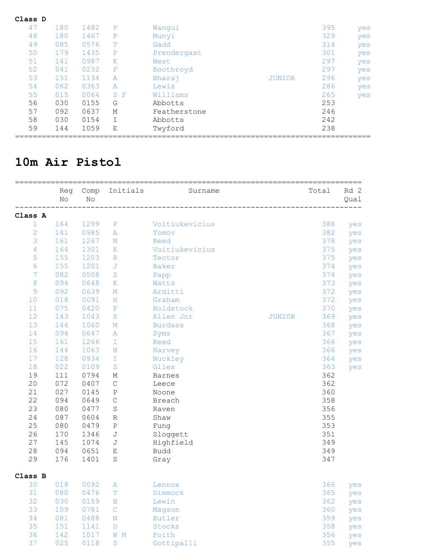| Class D |     |      |     |              |               |     |     |
|---------|-----|------|-----|--------------|---------------|-----|-----|
| 47      | 180 | 1482 | P   | Wanqui       |               | 395 | yes |
| 48      | 180 | 1467 | P   | Munyi        |               | 329 | yes |
| 49      | 085 | 0576 | Τ   | Gadd         |               | 314 | yes |
| 50      | 179 | 1435 | P   | Prendergast  |               | 301 | yes |
| 51      | 141 | 0987 | Κ   | West         |               | 297 | yes |
| 52      | 041 | 0232 | P   | Boothroyd    |               | 297 | yes |
| 53      | 151 | 1134 | A   | Bharaj       | <b>JUNIOR</b> | 296 | yes |
| 54      | 062 | 0363 | A   | Lewis        |               | 286 | yes |
| 55      | 015 | 0064 | S F | Williams     |               | 265 | yes |
| 56      | 030 | 0155 | G   | Abbotts      |               | 253 |     |
| 57      | 092 | 0637 | М   | Featherstone |               | 246 |     |
| 58      | 030 | 0154 |     | Abbotts      |               | 242 |     |
| 59      | 144 | 1059 | Ε   | Twyford      |               | 238 |     |

#### **10m Air Pistol**

|                | Reg<br>$\rm No$ | Comp<br>No | Initials         | Surname        |               | Total | Rd 2<br>Qual |
|----------------|-----------------|------------|------------------|----------------|---------------|-------|--------------|
| Class A        |                 |            |                  |                |               |       |              |
| $\mathbf 1$    | 164             | 1299       | $\, {\bf P}$     | Voitiukevicius |               | 386   | yes          |
| $\overline{c}$ | 141             | 0985       | A                | Tomov          |               | 382   | yes          |
| 3              | 161             | 1267       | М                | Reed           |               | 378   | yes          |
| 4              | 164             | 1301       | $\mathbf K$      | Voitiukevicius |               | 375   | yes          |
| 5              | 155             | 1203       | $\mathbb R$      | Tector         |               | 375   | yes          |
| 6              | 155             | 1201       | J                | <b>Baker</b>   |               | 374   | yes          |
| 7              | 082             | 0508       | Ζ                | Papp           |               | 374   | yes          |
| 8              | 094             | 0648       | $\mathbf K$      | Watts          |               | 373   | yes          |
| $\mathcal{G}$  | 092             | 0639       | $M_{\odot}$      | Arditti        |               | 372   | yes          |
| 10             | 018             | 0091       | H                | Graham         |               | 372   | yes          |
| 11             | 075             | 0420       | $\mathbf{P}$     | Holdstock      |               | 370   | yes          |
| 12             | 143             | 1043       | S                | Allen Jnr      | <b>JUNIOR</b> | 369   | yes          |
| 13             | 144             | 1060       | М                | <b>Burdass</b> |               | 368   | yes          |
| 14             | 094             | 0647       | Α                | Syms           |               | 367   | yes          |
| 15             | 161             | 1266       | T                | Reed           |               | 366   | yes          |
| 16             | 144             | 1063       | N                | Harvey         |               | 366   | yes          |
| 17             | 128             | 0934       | T                | Nuckley        |               | 364   | yes          |
| 18             | 022             | 0109       | S                | Giles          |               | 363   | yes          |
| 19             | 111             | 0794       | М                | <b>Barnes</b>  |               | 362   |              |
| 20             | 072             | 0407       | $\mathsf C$      | Leece          |               | 362   |              |
| 21             | 027             | 0145       | Ρ                | Noone          |               | 360   |              |
| 22             | 094             | 0649       | $\mathsf C$      | Breach         |               | 358   |              |
| 23             | 080             | 0477       | $\mathbf S$      | Raven          |               | 356   |              |
| 24             | 087             | 0604       | $\mathbb R$      | Shaw           |               | 355   |              |
| 25             | 080             | 0479       | $\, {\bf P}$     | Fung           |               | 353   |              |
| 26             | 170             | 1346       | J                | Sloggett       |               | 351   |              |
| 27             | 145             | 1074       | J                | Highfield      |               | 349   |              |
| 28             | 094             | 0651       | Ε                | <b>Budd</b>    |               | 349   |              |
| 29             | 176             | 1401       | S                | Gray           |               | 347   |              |
| Class B        |                 |            |                  |                |               |       |              |
| 30             | 018             | 0092       | Α                | Lennox         |               | 366   | yes          |
| 31             | 080             | 0476       | $\mathbb T$      | Dimmock        |               | 365   | yes          |
| 32             | 030             | 0159       | $\, {\bf B}$     | Lewin          |               | 362   | yes          |
| 33             | 109             | 0781       | $\mathcal{C}$    | Magson         |               | 360   | yes          |
| 34             | 081             | 0488       | $\rm N$          | Butler         |               | 359   | yes          |
| 35             | 151             | 1141       | $\mathbb D$      | Stocks         |               | 358   | yes          |
| 36             | 142             | 1017       | W<br>$\mathbb M$ | Foith          |               | 356   | yes          |
| 37             | 025             | 0118       | $\rm S$          | Gottipalli     |               | 355   | yes          |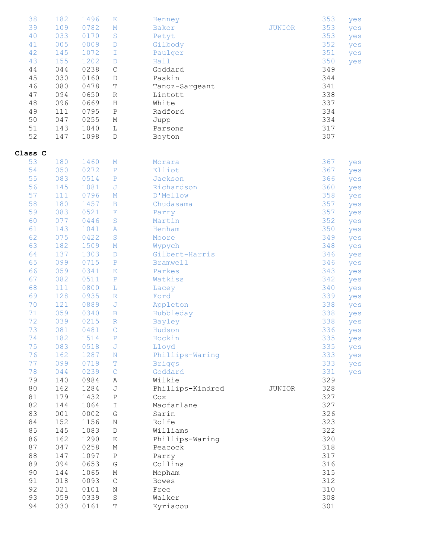| 38<br>39<br>40<br>41<br>42<br>43<br>44<br>45<br>46<br>47<br>48<br>49<br>50<br>51<br>52 | 182<br>109<br>033<br>005<br>145<br>155<br>044<br>030<br>080<br>094<br>096<br>111<br>047<br>143<br>147 | 1496<br>0782<br>0170<br>0009<br>1072<br>1202<br>0238<br>0160<br>0478<br>0650<br>0669<br>0795<br>0255<br>1040<br>1098 | $\mathbf K$<br>$\mathbb M$<br>$\rm S$<br>$\mathbb D$<br>I<br>D<br>$\mathsf C$<br>$\mathbb D$<br>T<br>$\mathbb R$<br>Η<br>$\, {\bf P}$<br>Μ<br>L<br>D | Henney<br>Baker<br>Petyt<br>Gilbody<br>Paulger<br>Hall<br>Goddard<br>Paskin<br>Tanoz-Sargeant<br>Lintott<br>White<br>Radford<br>Jupp<br>Parsons<br>Boyton | <b>JUNIOR</b> | 353<br>353<br>353<br>352<br>351<br>350<br>349<br>344<br>341<br>338<br>337<br>334<br>334<br>317<br>307 | yes<br>yes<br>yes<br>yes<br>yes<br>yes |
|----------------------------------------------------------------------------------------|-------------------------------------------------------------------------------------------------------|----------------------------------------------------------------------------------------------------------------------|------------------------------------------------------------------------------------------------------------------------------------------------------|-----------------------------------------------------------------------------------------------------------------------------------------------------------|---------------|-------------------------------------------------------------------------------------------------------|----------------------------------------|
| Class C                                                                                |                                                                                                       |                                                                                                                      |                                                                                                                                                      |                                                                                                                                                           |               |                                                                                                       |                                        |
| 53<br>54                                                                               | 180                                                                                                   | 1460                                                                                                                 | Μ                                                                                                                                                    | Morara                                                                                                                                                    |               | 367                                                                                                   | yes                                    |
| 55                                                                                     | 050<br>083                                                                                            | 0272<br>0514                                                                                                         | P<br>$\, {\bf P}$                                                                                                                                    | Elliot<br>Jackson                                                                                                                                         |               | 367<br>366                                                                                            | yes                                    |
| 56                                                                                     | 145                                                                                                   | 1081                                                                                                                 | J                                                                                                                                                    | Richardson                                                                                                                                                |               | 360                                                                                                   | yes                                    |
| 57                                                                                     | 111                                                                                                   | 0796                                                                                                                 | Μ                                                                                                                                                    | D'Mellow                                                                                                                                                  |               | 358                                                                                                   | yes<br>yes                             |
| 58                                                                                     | 180                                                                                                   | 1457                                                                                                                 | B                                                                                                                                                    | Chudasama                                                                                                                                                 |               | 357                                                                                                   | yes                                    |
| 59                                                                                     | 083                                                                                                   | 0521                                                                                                                 | $\mathbf{F}% _{0}$                                                                                                                                   | Parry                                                                                                                                                     |               | 357                                                                                                   | yes                                    |
| 60                                                                                     | 077                                                                                                   | 0446                                                                                                                 | $\rm S$                                                                                                                                              | Martin                                                                                                                                                    |               | 352                                                                                                   | yes                                    |
| 61                                                                                     | 143                                                                                                   | 1041                                                                                                                 | A                                                                                                                                                    | Henham                                                                                                                                                    |               | 350                                                                                                   | yes                                    |
| 62                                                                                     | 075                                                                                                   | 0422                                                                                                                 | $\rm S$                                                                                                                                              | Moore                                                                                                                                                     |               | 349                                                                                                   | yes                                    |
| 63                                                                                     | 182                                                                                                   | 1509                                                                                                                 | M                                                                                                                                                    | Wypych                                                                                                                                                    |               | 348                                                                                                   | yes                                    |
| 64                                                                                     | 137                                                                                                   | 1303                                                                                                                 | D                                                                                                                                                    | Gilbert-Harris                                                                                                                                            |               | 346                                                                                                   | yes                                    |
| 65                                                                                     | 099                                                                                                   | 0715                                                                                                                 | ${\mathbb P}$                                                                                                                                        | <b>Bramwell</b>                                                                                                                                           |               | 346                                                                                                   | yes                                    |
| 66                                                                                     | 059                                                                                                   | 0341                                                                                                                 | Ε                                                                                                                                                    | Parkes                                                                                                                                                    |               | 343                                                                                                   | yes                                    |
| 67                                                                                     | 082                                                                                                   | 0511                                                                                                                 | $\mathbf{P}$                                                                                                                                         | Watkiss                                                                                                                                                   |               | 342                                                                                                   | yes                                    |
| 68                                                                                     | 111                                                                                                   | 0800                                                                                                                 | L                                                                                                                                                    | Lacey                                                                                                                                                     |               | 340                                                                                                   | yes                                    |
| 69                                                                                     | 128                                                                                                   | 0935                                                                                                                 | $\mathbb R$                                                                                                                                          | Ford                                                                                                                                                      |               | 339                                                                                                   | yes                                    |
| 70                                                                                     | 121                                                                                                   | 0889                                                                                                                 | J                                                                                                                                                    | Appleton                                                                                                                                                  |               | 338                                                                                                   | yes                                    |
| 71                                                                                     | 059                                                                                                   | 0340                                                                                                                 | B                                                                                                                                                    | Hubbleday                                                                                                                                                 |               | 338                                                                                                   | yes                                    |
| 72                                                                                     | 039                                                                                                   | 0215                                                                                                                 | $\mathbb R$                                                                                                                                          | Bayley                                                                                                                                                    |               | 338                                                                                                   | yes                                    |
| 73                                                                                     | 081                                                                                                   | 0481                                                                                                                 | $\mathsf{C}$                                                                                                                                         | Hudson                                                                                                                                                    |               | 336                                                                                                   | yes                                    |
| 74                                                                                     | 182                                                                                                   | 1514                                                                                                                 | $\rm P$                                                                                                                                              | Hockin                                                                                                                                                    |               | 335                                                                                                   | yes                                    |
| 75                                                                                     | 083                                                                                                   | 0518                                                                                                                 | J                                                                                                                                                    | Lloyd                                                                                                                                                     |               | 335                                                                                                   | yes                                    |
| 76                                                                                     | 162                                                                                                   | 1287                                                                                                                 | $\rm N$                                                                                                                                              | Phillips-Waring                                                                                                                                           |               | 333                                                                                                   | yes                                    |
| 77                                                                                     | 099                                                                                                   | 0719                                                                                                                 | т                                                                                                                                                    | <b>Briggs</b>                                                                                                                                             |               | 333                                                                                                   | yes                                    |
| 78                                                                                     | 044                                                                                                   | 0239                                                                                                                 | $\mathsf{C}$                                                                                                                                         | Goddard                                                                                                                                                   |               | 331                                                                                                   | yes                                    |
| 79                                                                                     | 140                                                                                                   | 0984                                                                                                                 | Α                                                                                                                                                    | Wilkie                                                                                                                                                    |               | 329                                                                                                   |                                        |
| 80<br>81                                                                               | 162<br>179                                                                                            | 1284<br>1432                                                                                                         | J<br>$\, {\bf P}$                                                                                                                                    | Phillips-Kindred<br>Cox                                                                                                                                   | JUNIOR        | 328<br>327                                                                                            |                                        |
| 82                                                                                     | 144                                                                                                   | 1064                                                                                                                 | $\mathbbm{I}$                                                                                                                                        | Macfarlane                                                                                                                                                |               | 327                                                                                                   |                                        |
| 83                                                                                     | 001                                                                                                   | 0002                                                                                                                 | G                                                                                                                                                    | Sarin                                                                                                                                                     |               | 326                                                                                                   |                                        |
| 84                                                                                     | 152                                                                                                   | 1156                                                                                                                 | N                                                                                                                                                    | Rolfe                                                                                                                                                     |               | 323                                                                                                   |                                        |
| 85                                                                                     | 145                                                                                                   | 1083                                                                                                                 | D                                                                                                                                                    | Williams                                                                                                                                                  |               | 322                                                                                                   |                                        |
| 86                                                                                     | 162                                                                                                   | 1290                                                                                                                 | Ε                                                                                                                                                    | Phillips-Waring                                                                                                                                           |               | 320                                                                                                   |                                        |
| 87                                                                                     | 047                                                                                                   | 0258                                                                                                                 | М                                                                                                                                                    | Peacock                                                                                                                                                   |               | 318                                                                                                   |                                        |
| 88                                                                                     | 147                                                                                                   | 1097                                                                                                                 | $\, {\bf P}$                                                                                                                                         | Parry                                                                                                                                                     |               | 317                                                                                                   |                                        |
| 89                                                                                     | 094                                                                                                   | 0653                                                                                                                 | $\mathbb{G}% _{M_{1},M_{2}}^{\alpha,\beta}$                                                                                                          | Collins                                                                                                                                                   |               | 316                                                                                                   |                                        |
| 90                                                                                     | 144                                                                                                   | 1065                                                                                                                 | М                                                                                                                                                    | Mepham                                                                                                                                                    |               | 315                                                                                                   |                                        |
| 91                                                                                     | 018                                                                                                   | 0093                                                                                                                 | $\mathsf C$                                                                                                                                          | <b>Bowes</b>                                                                                                                                              |               | 312                                                                                                   |                                        |
| 92                                                                                     | 021                                                                                                   | 0101                                                                                                                 | N                                                                                                                                                    | Free                                                                                                                                                      |               | 310                                                                                                   |                                        |
| 93                                                                                     | 059                                                                                                   | 0339                                                                                                                 | $\mathbf S$                                                                                                                                          | Walker                                                                                                                                                    |               | 308                                                                                                   |                                        |
| 94                                                                                     | 030                                                                                                   | 0161                                                                                                                 | $\mathbb T$                                                                                                                                          | Kyriacou                                                                                                                                                  |               | 301                                                                                                   |                                        |
|                                                                                        |                                                                                                       |                                                                                                                      |                                                                                                                                                      |                                                                                                                                                           |               |                                                                                                       |                                        |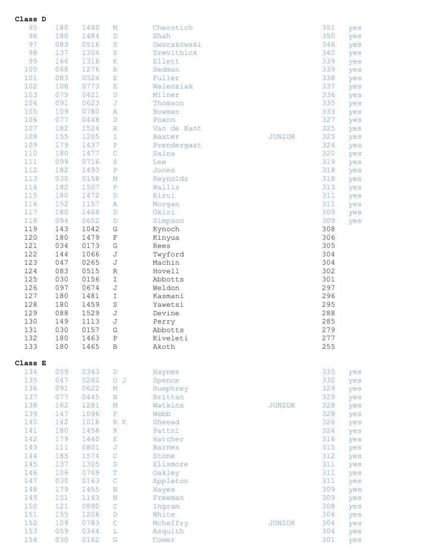| Class D    |            |              |                   |                    |               |            |            |
|------------|------------|--------------|-------------------|--------------------|---------------|------------|------------|
| 95         | 180        | 1480         | M                 | Cherotich          |               | 351        | yes        |
| 96         | 180        | 1484         | D                 | Shah               |               | 350        | yes        |
| 97         | 083        | 0516         | S                 | Dworakowski        |               | 346        | yes        |
| 98         | 137        | 1304         | S                 | Trevithick         |               | 340        | yes        |
| 99         | 166        | 1318         | $\mathbf K$       | Ellett             |               | 339        | yes        |
| 100        | 068        | 1276         | $\mathbb R$       | Sedman             |               | 339        | yes        |
| 101        | 083        | 0524         | Ε                 | Fuller             |               | 338        | yes        |
| 102        | 108        | 0773         | Ε                 | Walenziak          |               | 337        | yes        |
| 103        | 075        | 0421         | D                 | Milner             |               | 336        | yes        |
| 104        | 091        | 0623         | J                 | Thomson            |               | 335        | yes        |
| 105        | 109        | 0780         | A                 | Bowman             |               | 333        | yes        |
| 106        | 077        | 0448         | D                 | Poxon              |               | 327        | yes        |
| 107        | 182        | 1524         | $\mathbb R$       | Van de Kant        |               | 325        | yes        |
| 108        | 155        | 1205         | I                 | Baxter             | <b>JUNIOR</b> | 325        | yes        |
| 109        | 179        | 1437         | $\, {\bf P}$      | Prendergast        |               | 324        | yes        |
| 110        | 180        | 1477         | $\mathsf{C}$      | Saina              |               | 320<br>319 | yes        |
| 111<br>112 | 099<br>182 | 0716<br>1493 | $\rm S$           | Lee                |               | 318        | yes        |
| 113        | 030        | 0158         | $\, {\bf P}$      | Jones              |               | 318        | yes        |
| 114        | 182        | 1507         | M<br>$\, {\bf P}$ | Reynolds<br>Wallis |               | 313        | yes        |
| 115        | 180        | 1472         | D                 | Kirui              |               | 311        | yes        |
| 116        | 152        | 1157         | A                 | Morgan             |               | 311        | yes        |
| 117        | 180        | 1468         | D                 | Okiri              |               | 309        | yes<br>yes |
| 118        | 094        | 0652         | D                 | Simpson            |               | 309        | yes        |
| 119        | 143        | 1042         | ${\mathbb G}$     | Kynoch             |               | 308        |            |
| 120        | 180        | 1479         | $\mathbf F$       | Kinyua             |               | 306        |            |
| 121        | 034        | 0173         | ${\mathbb G}$     | Rees               |               | 305        |            |
| 122        | 144        | 1066         | J                 | Twyford            |               | 304        |            |
| 123        | 047        | 0265         | J                 | Machin             |               | 304        |            |
| 124        | 083        | 0515         | R                 | Hovell             |               | 302        |            |
| 125        | 030        | 0156         | Ι                 | Abbotts            |               | 301        |            |
| 126        | 097        | 0674         | J                 | Weldon             |               | 297        |            |
| 127        | 180        | 1481         | Ι                 | Kasmani            |               | 296        |            |
| 128        | 180        | 1459         | S                 | Yawetsi            |               | 295        |            |
| 129        | 088        | 1529         | J                 | Devine             |               | 288        |            |
| 130        | 149        | 1113         | J                 | Perry              |               | 285        |            |
| 131        | 030        | 0157         | G                 | Abbotts            |               | 279        |            |
| 132        | 180        | 1463         | Ρ                 | Kiveleti           |               | 277        |            |
| 133        | 180        | 1465         | B                 | Akoth              |               | 255        |            |
| Class E    |            |              |                   |                    |               |            |            |
| 134        | 059        | 0343         | D                 | Haynes             |               | 335        | yes        |
| 135        | 047        | 0262         | $O$ $J$           | Spence             |               | 332        | yes        |
| 136        | 091        | 0622         | М                 | Humphrey           |               | 329        | yes        |
| 137        | 077        | 0445         | $\mathbf N$       | Brittan            |               | 329        | yes        |
| 138        | 162        | 1281         | $\mathbf M$       | Watkins            | <b>JUNIOR</b> | 328        | yes        |
| 139        | 147        | 1096         | $\, {\bf P}$      | Webb               |               | 328        | yes        |
| 140        | 142        | 1018         | R K               | Sheead             |               | 326        | yes        |
| 141        | 180        | 1458         | $\mathbb R$       | Pattni             |               | 324        | yes        |
| 142        | 179        | 1440         | Ε                 | Hatcher            |               | 316        | yes        |
| 143        | 111        | 0801         | J                 | <b>Barnes</b>      |               | 315        | yes        |
| 144        | 185        | 1574         | $\mathbf C$       | Stone              |               | 312        | yes        |
| 145        | 137        | 1305         | D                 | Ellsmore           |               | 311        | yes        |
| 146        | 106        | 0749         | т                 | Oakley             |               | 311        | yes        |
| 147        | 030        | 0163         | $\mathsf{C}$      | Appleton           |               | 311        | yes        |
| 148        | 179        | 1455         | $\rm N$           | Hayes              |               | 309        | yes        |
| 149        | 151        | 1143         | N                 | Freeman            |               | 309        | yes        |
| 150        | 121        | 0890         | $\mathsf{C}$      | Ingram             |               | 308        | yes        |
| 151        | 155        | 1206         | D                 | White              |               | 306        | yes        |
| 152        | 109        | 0783         | $\mathcal{C}$     | Mcheffry           | <b>JUNIOR</b> | 304        | yes        |
|            |            |              |                   |                    |               |            |            |
| 153<br>154 | 059<br>030 | 0344<br>0162 | L<br>G            | Asquith<br>Comer   |               | 304<br>301 | yes<br>yes |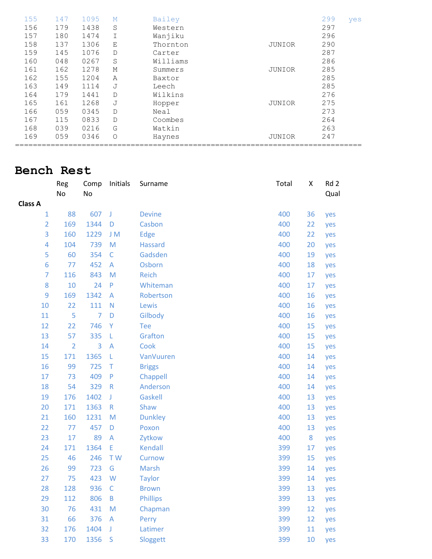| 155 | 147 | 1095 | М        | Bailey   |        | 299 | yes |
|-----|-----|------|----------|----------|--------|-----|-----|
| 156 | 179 | 1438 | S        | Western  |        | 297 |     |
| 157 | 180 | 1474 |          | Wanjiku  |        | 296 |     |
| 158 | 137 | 1306 | Ε        | Thornton | JUNIOR | 290 |     |
| 159 | 145 | 1076 | D        | Carter   |        | 287 |     |
| 160 | 048 | 0267 | S        | Williams |        | 286 |     |
| 161 | 162 | 1278 | М        | Summers  | JUNIOR | 285 |     |
| 162 | 155 | 1204 | A        | Baxtor   |        | 285 |     |
| 163 | 149 | 1114 | J        | Leech    |        | 285 |     |
| 164 | 179 | 1441 | D        | Wilkins  |        | 276 |     |
| 165 | 161 | 1268 | J        | Hopper   | JUNIOR | 275 |     |
| 166 | 059 | 0345 | D        | Neal     |        | 273 |     |
| 167 | 115 | 0833 | D        | Coombes  |        | 264 |     |
| 168 | 039 | 0216 | G        | Watkin   |        | 263 |     |
| 169 | 059 | 0346 | $\Omega$ | Haynes   | JUNIOR | 247 |     |
|     |     |      |          |          |        |     |     |

#### **Bench Rest**

|                | Reg<br>No      | Comp<br>No     | Initials                | Surname         | Total | X  | Rd 2<br>Qual |
|----------------|----------------|----------------|-------------------------|-----------------|-------|----|--------------|
| <b>Class A</b> |                |                |                         |                 |       |    |              |
| $\mathbf{1}$   | 88             | 607            | J                       | <b>Devine</b>   | 400   | 36 | yes          |
| $\overline{2}$ | 169            | 1344           | D                       | Casbon          | 400   | 22 | yes          |
| 3              | 160            | 1229           | J M                     | <b>Edge</b>     | 400   | 22 | yes          |
| $\overline{4}$ | 104            | 739            | M                       | <b>Hassard</b>  | 400   | 20 | yes          |
| 5              | 60             | 354            | $\mathsf C$             | Gadsden         | 400   | 19 | yes          |
| 6              | 77             | 452            | A                       | Osborn          | 400   | 18 | yes          |
| $\overline{7}$ | 116            | 843            | M                       | Reich           | 400   | 17 | yes          |
| 8              | 10             | 24             | $\mathsf{P}$            | Whiteman        | 400   | 17 | yes          |
| 9              | 169            | 1342           | $\mathsf A$             | Robertson       | 400   | 16 | yes          |
| 10             | 22             | 111            | $\overline{\mathsf{N}}$ | Lewis           | 400   | 16 | yes          |
| 11             | 5              | $\overline{7}$ | D                       | Gilbody         | 400   | 16 | yes          |
| 12             | 22             | 746            | Υ                       | <b>Tee</b>      | 400   | 15 | yes          |
| 13             | 57             | 335            | L                       | Grafton         | 400   | 15 | yes          |
| 14             | $\overline{2}$ | 3              | A                       | Cook            | 400   | 15 | yes          |
| 15             | 171            | 1365           | L                       | VanVuuren       | 400   | 14 | yes          |
| 16             | 99             | 725            | T                       | <b>Briggs</b>   | 400   | 14 | yes          |
| 17             | 73             | 409            | $\mathsf{P}$            | Chappell        | 400   | 14 | yes          |
| 18             | 54             | 329            | $\mathsf R$             | Anderson        | 400   | 14 | yes          |
| 19             | 176            | 1402           | J                       | <b>Gaskell</b>  | 400   | 13 | yes          |
| 20             | 171            | 1363           | ${\sf R}$               | Shaw            | 400   | 13 | yes          |
| 21             | 160            | 1231           | M                       | <b>Dunkley</b>  | 400   | 13 | yes          |
| 22             | 77             | 457            | D                       | Poxon           | 400   | 13 | yes          |
| 23             | 17             | 89             | $\overline{A}$          | Zytkow          | 400   | 8  | yes          |
| 24             | 171            | 1364           | E                       | Kendall         | 399   | 17 | yes          |
| 25             | 46             | 246            | T W                     | Curnow          | 399   | 15 | yes          |
| 26             | 99             | 723            | G                       | <b>Marsh</b>    | 399   | 14 | yes          |
| 27             | 75             | 423            | W                       | <b>Taylor</b>   | 399   | 14 | yes          |
| 28             | 128            | 936            | $\mathsf C$             | <b>Brown</b>    | 399   | 13 | yes          |
| 29             | 112            | 806            | $\sf B$                 | <b>Phillips</b> | 399   | 13 | yes          |
| 30             | 76             | 431            | M                       | Chapman         | 399   | 12 | yes          |
| 31             | 66             | 376            | A                       | Perry           | 399   | 12 | yes          |
| 32             | 176            | 1404           | J                       | Latimer         | 399   | 11 | yes          |
| 33             | 170            | 1356           | S                       | Sloggett        | 399   | 10 | yes          |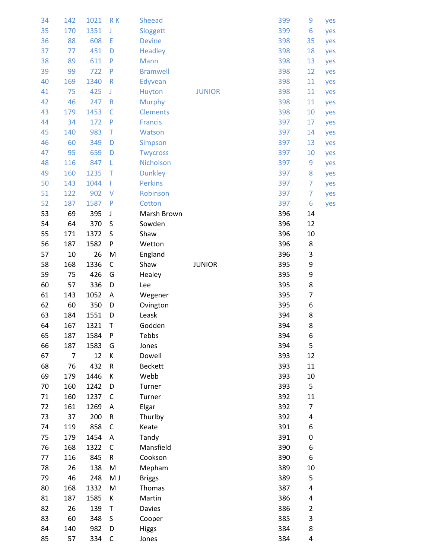| 34 | 142 | 1021 | RK           | <b>Sheead</b>   |               | 399 | 9                | yes |
|----|-----|------|--------------|-----------------|---------------|-----|------------------|-----|
| 35 | 170 | 1351 | J            | Sloggett        |               | 399 | 6                | yes |
| 36 | 88  | 608  | E            | <b>Devine</b>   |               | 398 | 35               | yes |
| 37 | 77  | 451  | D            | <b>Headley</b>  |               | 398 | 18               | yes |
| 38 | 89  | 611  | P            | Mann            |               | 398 | 13               | yes |
| 39 | 99  | 722  | P            | <b>Bramwell</b> |               | 398 | 12               | yes |
| 40 | 169 | 1340 | $\mathsf{R}$ | Edyvean         |               | 398 | 11               | yes |
| 41 | 75  | 425  | J            | Huyton          | <b>JUNIOR</b> | 398 | 11               | yes |
| 42 | 46  | 247  | ${\sf R}$    | <b>Murphy</b>   |               | 398 | 11               | yes |
| 43 | 179 | 1453 | $\mathsf{C}$ | <b>Clements</b> |               | 398 | 10               | yes |
| 44 | 34  | 172  | P            | <b>Francis</b>  |               | 397 | 17               | yes |
| 45 | 140 | 983  | T            | Watson          |               | 397 | 14               | yes |
| 46 | 60  | 349  | D            | <b>Simpson</b>  |               | 397 | 13               | yes |
| 47 | 95  | 659  | D            | <b>Twycross</b> |               | 397 | 10               | yes |
| 48 | 116 | 847  | L            | Nicholson       |               | 397 | 9                | yes |
| 49 | 160 | 1235 | $\top$       | <b>Dunkley</b>  |               | 397 | 8                | yes |
| 50 | 143 | 1044 | L            | <b>Perkins</b>  |               | 397 | 7                | yes |
| 51 | 122 | 902  | $\vee$       | Robinson        |               | 397 | 7                | yes |
| 52 | 187 | 1587 | P            | Cotton          |               | 397 | 6                | yes |
| 53 | 69  | 395  | J            | Marsh Brown     |               | 396 | 14               |     |
| 54 | 64  | 370  | S            | Sowden          |               | 396 | 12               |     |
| 55 | 171 | 1372 | S            | Shaw            |               | 396 | 10               |     |
| 56 | 187 | 1582 | ${\sf P}$    | Wetton          |               | 396 | 8                |     |
| 57 | 10  | 26   | M            | England         |               | 396 | 3                |     |
| 58 | 168 | 1336 | C            | Shaw            | <b>JUNIOR</b> | 395 | 9                |     |
| 59 | 75  | 426  | G            | Healey          |               | 395 | 9                |     |
| 60 | 57  | 336  | D            | Lee             |               | 395 | 8                |     |
| 61 | 143 | 1052 | Α            | Wegener         |               | 395 | 7                |     |
| 62 | 60  | 350  | D            | Ovington        |               | 395 | 6                |     |
| 63 | 184 | 1551 | D            | Leask           |               | 394 | 8                |     |
| 64 | 167 | 1321 | T            | Godden          |               | 394 | 8                |     |
| 65 | 187 | 1584 | P            | Tebbs           |               | 394 | 6                |     |
| 66 | 187 | 1583 | G            | Jones           |               | 394 | 5                |     |
| 67 | 7   | 12   | К            | Dowell          |               | 393 | 12               |     |
| 68 | 76  | 432  | R            | <b>Beckett</b>  |               | 393 | 11               |     |
| 69 | 179 | 1446 | К            | Webb            |               | 393 | 10               |     |
| 70 | 160 | 1242 | D            | Turner          |               | 393 | 5                |     |
| 71 | 160 | 1237 | C            | Turner          |               | 392 | 11               |     |
| 72 | 161 | 1269 | A            | Elgar           |               | 392 | 7                |     |
| 73 | 37  | 200  | ${\sf R}$    | Thurlby         |               | 392 | 4                |     |
| 74 | 119 | 858  | C            | Keate           |               | 391 | 6                |     |
| 75 | 179 | 1454 | Α            | Tandy           |               | 391 | $\boldsymbol{0}$ |     |
| 76 | 168 | 1322 | C            | Mansfield       |               | 390 | 6                |     |
| 77 | 116 | 845  | R            | Cookson         |               | 390 | 6                |     |
| 78 | 26  | 138  | M            | Mepham          |               | 389 | 10               |     |
| 79 | 46  | 248  | M J          | <b>Briggs</b>   |               | 389 | 5                |     |
| 80 | 168 | 1332 | M            | Thomas          |               | 387 | 4                |     |
| 81 | 187 | 1585 | К            | Martin          |               | 386 | 4                |     |
| 82 | 26  | 139  | T            | Davies          |               | 386 | $\overline{2}$   |     |
| 83 |     |      |              |                 |               |     |                  |     |
|    | 60  | 348  | S            | Cooper          |               | 385 |                  |     |
| 84 | 140 | 982  | D            | <b>Higgs</b>    |               | 384 | 3<br>8           |     |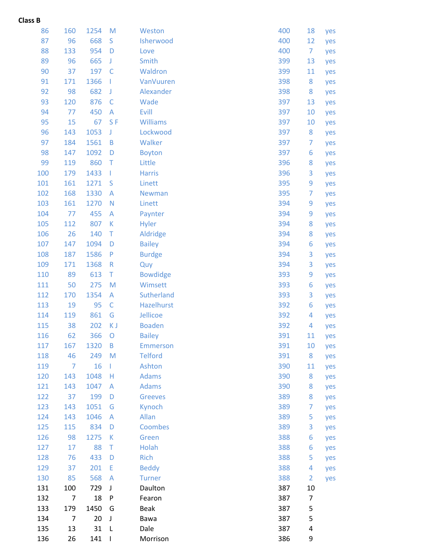#### **Class B**

| 86  | 160            | 1254 | M              | Weston          | 400 | 18                      | yes |
|-----|----------------|------|----------------|-----------------|-----|-------------------------|-----|
| 87  | 96             | 668  | S              | Isherwood       | 400 | 12                      | yes |
| 88  | 133            | 954  | D              | Love            | 400 | 7                       | yes |
| 89  | 96             | 665  | J              | Smith           | 399 | 13                      | yes |
| 90  | 37             | 197  | $\mathsf{C}$   | Waldron         | 399 | 11                      | yes |
| 91  | 171            | 1366 |                | VanVuuren       | 398 | 8                       | yes |
| 92  | 98             | 682  | J              | Alexander       | 398 | 8                       | yes |
| 93  | 120            | 876  | $\mathsf{C}$   | Wade            | 397 | 13                      | yes |
| 94  | 77             | 450  | $\overline{A}$ | Evill           | 397 | 10                      | yes |
| 95  | 15             | 67   | S <sub>F</sub> | <b>Williams</b> | 397 | 10                      | yes |
| 96  | 143            | 1053 | J              | Lockwood        | 397 | 8                       | yes |
| 97  | 184            | 1561 | B              | Walker          | 397 | 7                       | yes |
| 98  | 147            | 1092 | D              | <b>Boyton</b>   | 397 | 6                       | yes |
| 99  | 119            | 860  | $\top$         | Little          | 396 | 8                       | yes |
| 100 | 179            | 1433 | Т              | <b>Harris</b>   | 396 | 3                       | yes |
| 101 | 161            | 1271 | S              | Linett          | 395 | 9                       | yes |
| 102 | 168            | 1330 | A              | <b>Newman</b>   | 395 | 7                       | yes |
| 103 | 161            | 1270 | $\mathbb N$    | Linett          | 394 | 9                       | yes |
| 104 | 77             | 455  | A              | Paynter         | 394 | 9                       | yes |
| 105 | 112            | 807  | К              | Hyler           | 394 | 8                       | yes |
| 106 | 26             | 140  | Т              | Aldridge        | 394 | 8                       | yes |
| 107 | 147            | 1094 | D              | <b>Bailey</b>   | 394 | 6                       | yes |
| 108 | 187            | 1586 | $\mathsf{P}$   | <b>Burdge</b>   | 394 | 3                       | yes |
| 109 | 171            | 1368 | $\mathsf{R}$   | Quy             | 394 | 3                       | yes |
| 110 | 89             | 613  | Τ              | <b>Bowdidge</b> | 393 | 9                       | yes |
| 111 | 50             | 275  | M              | Wimsett         | 393 | 6                       | yes |
| 112 | 170            | 1354 | A              | Sutherland      | 393 | 3                       | yes |
| 113 | 19             | 95   | $\mathsf{C}$   | Hazelhurst      | 392 | 6                       | yes |
| 114 | 119            | 861  | G              | Jellicoe        | 392 | 4                       | yes |
| 115 | 38             | 202  | K J            | <b>Boaden</b>   | 392 | 4                       | yes |
| 116 | 62             | 366  | O              | <b>Bailey</b>   | 391 | 11                      | yes |
| 117 | 167            | 1320 | $\mathsf B$    | <b>Emmerson</b> | 391 | 10                      | yes |
| 118 | 46             | 249  | M              | <b>Telford</b>  | 391 | $\bf 8$                 | yes |
| 119 | $\overline{7}$ | 16   | L              | Ashton          | 390 | 11                      | yes |
| 120 | 143            | 1048 | Н              | <b>Adams</b>    | 390 | 8                       | yes |
| 121 | 143            | 1047 | A              | <b>Adams</b>    | 390 | 8                       | yes |
| 122 | 37             | 199  | D              | <b>Greeves</b>  | 389 | 8                       | yes |
| 123 | 143            | 1051 | G              | Kynoch          | 389 | 7                       | yes |
| 124 | 143            | 1046 | A              | Allan           | 389 | 5                       | yes |
| 125 | 115            | 834  | D              | Coombes         | 389 | 3                       | yes |
| 126 | 98             | 1275 | К              | Green           | 388 | 6                       | yes |
| 127 | 17             | 88   | T              | Holah           | 388 | 6                       | yes |
| 128 | 76             | 433  | D              | <b>Rich</b>     | 388 | 5                       | yes |
| 129 | 37             | 201  | E              | <b>Beddy</b>    | 388 | 4                       | yes |
| 130 | 85             | 568  | $\overline{A}$ | <b>Turner</b>   | 388 | $\overline{2}$          | yes |
| 131 | 100            | 729  | $\mathsf J$    | Daulton         | 387 | 10                      |     |
| 132 | $\overline{7}$ | 18   | P              | Fearon          | 387 | 7                       |     |
| 133 | 179            | 1450 | G              | <b>Beak</b>     | 387 | 5                       |     |
| 134 | $\overline{7}$ | 20   | J              | Bawa            | 387 | 5                       |     |
| 135 | 13             | 31   | L              | Dale            | 387 | $\overline{\mathbf{r}}$ |     |
| 136 | 26             | 141  |                | Morrison        | 386 | 9                       |     |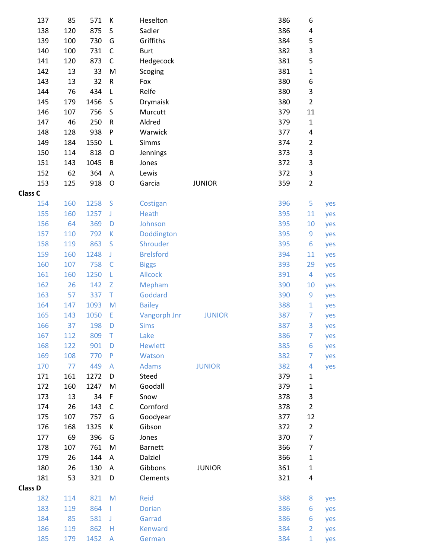| 137            | 85        | 571         | К                                                                                                          | Heselton                      | 386        | 6                 |     |
|----------------|-----------|-------------|------------------------------------------------------------------------------------------------------------|-------------------------------|------------|-------------------|-----|
| 138            | 120       | 875         | $\sf S$                                                                                                    | Sadler                        | 386        | 4                 |     |
| 139            | 100       | 730         | G                                                                                                          | Griffiths                     | 384        | 5                 |     |
| 140            | 100       | 731         | $\mathsf C$                                                                                                | <b>Burt</b>                   | 382        | 3                 |     |
| 141            | 120       | 873         | $\mathsf C$                                                                                                | Hedgecock                     | 381        | 5                 |     |
| 142            | 13        | 33          | M                                                                                                          | Scoging                       | 381        | $\mathbf 1$       |     |
| 143            | 13        | 32          | ${\sf R}$                                                                                                  | Fox                           | 380        | 6                 |     |
| 144            | 76        | 434         | L                                                                                                          | Relfe                         | 380        | 3                 |     |
| 145            | 179       | 1456        | $\sf S$                                                                                                    | Drymaisk                      | 380        | $\overline{2}$    |     |
| 146            | 107       | 756         | $\sf S$                                                                                                    | Murcutt                       | 379        | 11                |     |
| 147            | 46        | 250         | ${\sf R}$                                                                                                  | Aldred                        | 379        | $\mathbf 1$       |     |
| 148            | 128       | 938         | ${\sf P}$                                                                                                  | Warwick                       | 377        | 4                 |     |
| 149            | 184       | 1550        | L                                                                                                          | Simms                         | 374        | $\mathbf 2$       |     |
| 150            | 114       | 818         | O                                                                                                          | Jennings                      | 373        | 3                 |     |
| 151            | 143       | 1045        | B                                                                                                          | Jones                         | 372        | 3                 |     |
| 152            | 62        | 364         | Α                                                                                                          | Lewis                         | 372        | 3                 |     |
| 153            | 125       | 918         | $\circ$                                                                                                    | Garcia<br><b>JUNIOR</b>       | 359        | $\overline{2}$    |     |
| <b>Class C</b> |           |             |                                                                                                            |                               |            |                   |     |
| 154            | 160       | 1258        | S                                                                                                          | Costigan                      | 396        | 5                 | yes |
| 155            | 160       | 1257        | $\mathsf J$                                                                                                | Heath                         | 395        | 11                | yes |
| 156            | 64        | 369         | D                                                                                                          | Johnson                       | 395        | 10                | yes |
| 157            | 110       | 792         | K                                                                                                          | Doddington                    | 395        | 9                 | yes |
| 158            | 119       | 863         | S                                                                                                          | Shrouder                      | 395        | 6                 | yes |
| 159            | 160       | 1248        | $\mathsf J$                                                                                                | <b>Brelsford</b>              | 394        | 11                | yes |
| 160            | 107       | 758         | $\mathsf C$                                                                                                | <b>Biggs</b>                  | 393        | 29                | yes |
| 161            | 160       | 1250        | L                                                                                                          | <b>Allcock</b>                | 391        | $\overline{4}$    | yes |
| 162            | 26        | 142         | $\mathsf Z$                                                                                                | Mepham                        | 390        | 10                | yes |
| 163            | 57        | 337         | T                                                                                                          | Goddard                       | 390        | 9                 | yes |
| 164            | 147       | 1093        | M                                                                                                          | <b>Bailey</b>                 | 388        | $\mathbf{1}$      | yes |
| 165            | 143       | 1050        | E                                                                                                          | Vangorph Jnr<br><b>JUNIOR</b> | 387        | $\overline{7}$    | yes |
| 166            | 37        | 198         | D                                                                                                          | <b>Sims</b>                   | 387        | 3                 | yes |
| 167            | 112       | 809         | Τ                                                                                                          | Lake                          | 386        | $\overline{7}$    | yes |
| 168            | 122       | 901         | D                                                                                                          | <b>Hewlett</b>                | 385        | 6                 | yes |
| 169            | 108       | 770         | $\mathsf{P}$                                                                                               | Watson                        | 382        | 7                 | yes |
| 170<br>171     | 77<br>161 | 449<br>1272 | A<br>D                                                                                                     | <b>Adams</b><br><b>JUNIOR</b> | 382<br>379 | 4                 | yes |
| 172            | 160       | 1247        | M                                                                                                          | Steed<br>Goodall              | 379        | $\mathbf 1$       |     |
| 173            | 13        | 34          | F                                                                                                          | Snow                          | 378        | $\mathbf{1}$<br>3 |     |
| 174            | 26        | 143         | $\mathsf C$                                                                                                | Cornford                      | 378        | $\overline{2}$    |     |
| 175            | 107       | 757         | G                                                                                                          | Goodyear                      | 377        | 12                |     |
| 176            | 168       | 1325        | К                                                                                                          | Gibson                        | 372        | $\overline{2}$    |     |
| 177            | 69        | 396         | G                                                                                                          | Jones                         | 370        | $\overline{7}$    |     |
| 178            | 107       | 761         | M                                                                                                          | <b>Barnett</b>                | 366        | $\overline{7}$    |     |
| 179            | 26        | 144         | A                                                                                                          | Dalziel                       | 366        | $\mathbf{1}$      |     |
| 180            | 26        | 130         | Α                                                                                                          | Gibbons<br><b>JUNIOR</b>      | 361        | $\mathbf{1}$      |     |
| 181            | 53        | 321         | D                                                                                                          | Clements                      | 321        | 4                 |     |
| <b>Class D</b> |           |             |                                                                                                            |                               |            |                   |     |
| 182            | 114       | 821         | $\mathsf{M}% _{T}=\mathsf{M}_{T}\!\left( a,b\right) ,\ \mathsf{M}_{T}=\mathsf{M}_{T}\!\left( a,b\right) ,$ | Reid                          | 388        | 8                 | yes |
| 183            | 119       | 864         | L                                                                                                          | <b>Dorian</b>                 | 386        | 6                 | yes |
| 184            | 85        | 581         | J                                                                                                          | Garrad                        | 386        | 6                 | yes |
| 186            | 119       | 862         | н                                                                                                          | <b>Kenward</b>                | 384        | $\overline{2}$    | yes |
| 185            | 179       | 1452        | A                                                                                                          | German                        | 384        | $\mathbf{1}$      | yes |
|                |           |             |                                                                                                            |                               |            |                   |     |